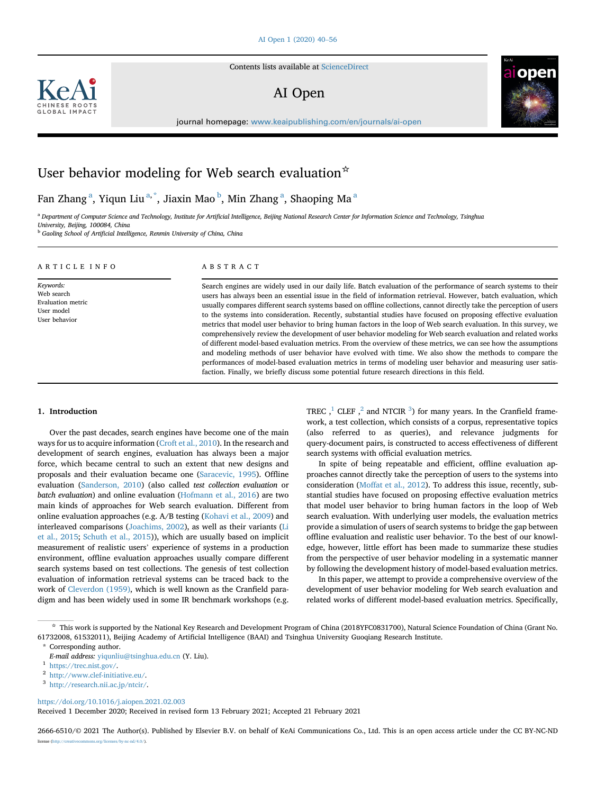Contents lists available at [ScienceDirect](www.sciencedirect.com/science/journal/26666510)

# AI Open



journal homepage: <www.keaipublishing.com/en/journals/ai-open>

# User behavior modeling for Web search evaluation  $\dot{\mathbf{x}}$

F[a](#page-0-0)n Zhang $^{\rm a}$ , Yiqun Liu $^{\rm a, *}$  $^{\rm a, *}$  $^{\rm a, *}$ , Jiaxin Mao $^{\rm b}$  $^{\rm b}$  $^{\rm b}$ , Min Zhang $^{\rm a}$ , Shaoping Ma $^{\rm a}$ 

<span id="page-0-0"></span>a Department of Computer Science and Technology, Institute for Artificial Intelligence, Beijing National Research Center for Information Science and Technology, Tsinghua University, Beijing, 100084, China

<span id="page-0-2"></span>**b Gaoling School of Artificial Intelligence, Renmin University of China, China** 

| ARTICLE INFO                                                                       | ABSTRACT                                                                                                                                                                                                                                                                                                                                                                                                                                                                                                                                                                                                                                                                                                                                                                                                                                                                                                                                                                                                                                                                                                                                                        |
|------------------------------------------------------------------------------------|-----------------------------------------------------------------------------------------------------------------------------------------------------------------------------------------------------------------------------------------------------------------------------------------------------------------------------------------------------------------------------------------------------------------------------------------------------------------------------------------------------------------------------------------------------------------------------------------------------------------------------------------------------------------------------------------------------------------------------------------------------------------------------------------------------------------------------------------------------------------------------------------------------------------------------------------------------------------------------------------------------------------------------------------------------------------------------------------------------------------------------------------------------------------|
| Keywords:<br>Web search<br><b>Evaluation metric</b><br>User model<br>User behavior | Search engines are widely used in our daily life. Batch evaluation of the performance of search systems to their<br>users has always been an essential issue in the field of information retrieval. However, batch evaluation, which<br>usually compares different search systems based on offline collections, cannot directly take the perception of users<br>to the systems into consideration. Recently, substantial studies have focused on proposing effective evaluation<br>metrics that model user behavior to bring human factors in the loop of Web search evaluation. In this survey, we<br>comprehensively review the development of user behavior modeling for Web search evaluation and related works<br>of different model-based evaluation metrics. From the overview of these metrics, we can see how the assumptions<br>and modeling methods of user behavior have evolved with time. We also show the methods to compare the<br>performances of model-based evaluation metrics in terms of modeling user behavior and measuring user satis-<br>faction. Finally, we briefly discuss some potential future research directions in this field. |

# 1. Introduction

Over the past decades, search engines have become one of the main ways for us to acquire information [\(Croft et al., 2010\)](#page-15-0). In the research and development of search engines, evaluation has always been a major force, which became central to such an extent that new designs and proposals and their evaluation became one ([Saracevic, 1995](#page-16-0)). Offline evaluation [\(Sanderson, 2010](#page-16-1)) (also called test collection evaluation or batch evaluation) and online evaluation ([Hofmann et al., 2016](#page-15-1)) are two main kinds of approaches for Web search evaluation. Different from online evaluation approaches (e.g. A/B testing [\(Kohavi et al., 2009\)](#page-15-2) and interleaved comparisons ([Joachims, 2002](#page-15-3)), as well as their variants [\(Li](#page-15-4) [et al., 2015](#page-15-4); [Schuth et al., 2015\)](#page-16-2)), which are usually based on implicit measurement of realistic users' experience of systems in a production environment, offline evaluation approaches usually compare different search systems based on test collections. The genesis of test collection evaluation of information retrieval systems can be traced back to the work of [Cleverdon \(1959\)](#page-15-5), which is well known as the Cranfield paradigm and has been widely used in some IR benchmark workshops (e.g.

TREC  $, \frac{1}{2}$  $, \frac{1}{2}$  $, \frac{1}{2}$  $, \frac{1}{2}$  $, \frac{1}{2}$  CLEF  $, \frac{2}{3}$  $, \frac{2}{3}$  $, \frac{2}{3}$  and NTCIR  $^3$ ) for many years. In the Cranfield framework, a test collection, which consists of a corpus, representative topics (also referred to as queries), and relevance judgments for query-document pairs, is constructed to access effectiveness of different search systems with official evaluation metrics.

In spite of being repeatable and efficient, offline evaluation approaches cannot directly take the perception of users to the systems into consideration [\(Moffat et al., 2012](#page-15-6)). To address this issue, recently, substantial studies have focused on proposing effective evaluation metrics that model user behavior to bring human factors in the loop of Web search evaluation. With underlying user models, the evaluation metrics provide a simulation of users of search systems to bridge the gap between offline evaluation and realistic user behavior. To the best of our knowledge, however, little effort has been made to summarize these studies from the perspective of user behavior modeling in a systematic manner by following the development history of model-based evaluation metrics.

In this paper, we attempt to provide a comprehensive overview of the development of user behavior modeling for Web search evaluation and related works of different model-based evaluation metrics. Specifically,

☆ This work is supported by the National Key Research and Development Program of China (2018YFC0831700), Natural Science Foundation of China (Grant No. 61732008, 61532011), Beijing Academy of Artificial Intelligence (BAAI) and Tsinghua University Guoqiang Research Institute.

<https://doi.org/10.1016/j.aiopen.2021.02.003>

Received 1 December 2020; Received in revised form 13 February 2021; Accepted 21 February 2021

2666-6510/© 2021 The Author(s). Published by Elsevier B.V. on behalf of KeAi Communications Co., Ltd. This is an open access article under the CC BY-NC-ND<br>Iiense (http://creativecommons.org/licenses/by-nc-nd/4.0/). licenses/by-nc-nd/4.0/).



<span id="page-0-1"></span><sup>\*</sup> Corresponding author.

E-mail address: [yiqunliu@tsinghua.edu.cn](mailto:yiqunliu@tsinghua.edu.cn) (Y. Liu).

<span id="page-0-3"></span> $^{\rm 1}$  <https://trec.nist.gov/>.

<span id="page-0-4"></span><sup>2</sup> [http://www.clef-initiative.eu/.](http://www.clef-initiative.eu/)

<span id="page-0-5"></span><sup>3</sup> [http://research.nii.ac.jp/ntcir/.](http://research.nii.ac.jp/ntcir/)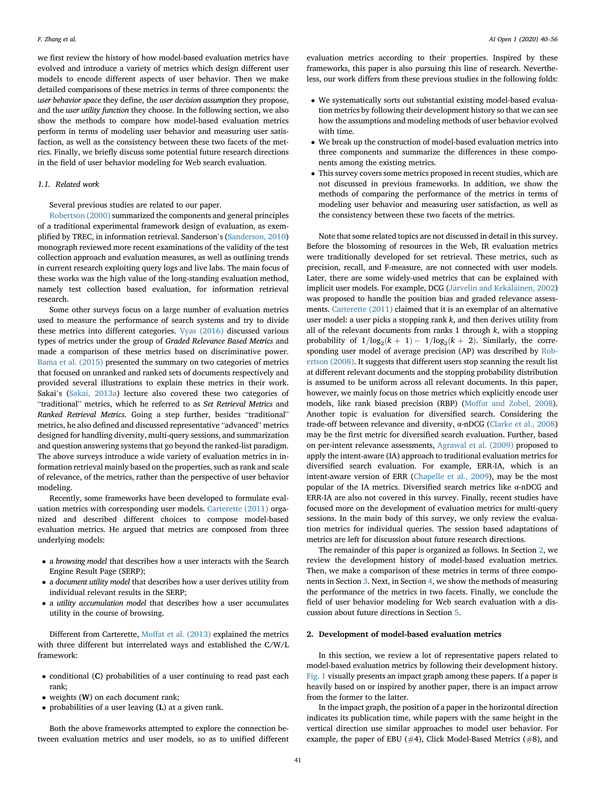we first review the history of how model-based evaluation metrics have evolved and introduce a variety of metrics which design different user models to encode different aspects of user behavior. Then we make detailed comparisons of these metrics in terms of three components: the user behavior space they define, the user decision assumption they propose, and the user utility function they choose. In the following section, we also show the methods to compare how model-based evaluation metrics perform in terms of modeling user behavior and measuring user satisfaction, as well as the consistency between these two facets of the metrics. Finally, we briefly discuss some potential future research directions in the field of user behavior modeling for Web search evaluation.

# 1.1. Related work

Several previous studies are related to our paper.

[Robertson \(2000\)](#page-16-3) summarized the components and general principles of a traditional experimental framework design of evaluation, as exemplified by TREC, in information retrieval. Sanderson's ([Sanderson, 2010\)](#page-16-1) monograph reviewed more recent examinations of the validity of the test collection approach and evaluation measures, as well as outlining trends in current research exploiting query logs and live labs. The main focus of these works was the high value of the long-standing evaluation method, namely test collection based evaluation, for information retrieval research.

Some other surveys focus on a large number of evaluation metrics used to measure the performance of search systems and try to divide these metrics into different categories. [Vyas \(2016\)](#page-16-4) discussed various types of metrics under the group of Graded Relevance Based Metrics and made a comparison of these metrics based on discriminative power. [Bama et al. \(2015\)](#page-15-7) presented the summary on two categories of metrics that focused on unranked and ranked sets of documents respectively and provided several illustrations to explain these metrics in their work. Sakai's [\(Sakai, 2013a\)](#page-16-5) lecture also covered these two categories of "traditional" metrics, which he referred to as Set Retrieval Metrics and Ranked Retrieval Metrics. Going a step further, besides "traditional" metrics, he also defined and discussed representative "advanced" metrics designed for handling diversity, multi-query sessions, and summarization and question answering systems that go beyond the ranked-list paradigm. The above surveys introduce a wide variety of evaluation metrics in information retrieval mainly based on the properties, such as rank and scale of relevance, of the metrics, rather than the perspective of user behavior modeling.

Recently, some frameworks have been developed to formulate evaluation metrics with corresponding user models. [Carterette \(2011\)](#page-15-8) organized and described different choices to compose model-based evaluation metrics. He argued that metrics are composed from three underlying models:

- <sup>a</sup> browsing model that describes how a user interacts with the Search Engine Result Page (SERP);
- <sup>a</sup> document utility model that describes how a user derives utility from individual relevant results in the SERP;
- <sup>a</sup> utility accumulation model that describes how a user accumulates utility in the course of browsing.

Different from Carterette, [Moffat et al. \(2013\)](#page-15-9) explained the metrics with three different but interrelated ways and established the C/W/L framework:

- conditional (C) probabilities of a user continuing to read past each rank;
- weights (W) on each document rank;
- probabilities of a user leaving (L) at a given rank.

Both the above frameworks attempted to explore the connection between evaluation metrics and user models, so as to unified different evaluation metrics according to their properties. Inspired by these frameworks, this paper is also pursuing this line of research. Nevertheless, our work differs from these previous studies in the following folds:

- We systematically sorts out substantial existing model-based evaluation metrics by following their development history so that we can see how the assumptions and modeling methods of user behavior evolved with time.
- We break up the construction of model-based evaluation metrics into three components and summarize the differences in these components among the existing metrics.
- This survey covers some metrics proposed in recent studies, which are not discussed in previous frameworks. In addition, we show the methods of comparing the performance of the metrics in terms of modeling user behavior and measuring user satisfaction, as well as the consistency between these two facets of the metrics.

Note that some related topics are not discussed in detail in this survey. Before the blossoming of resources in the Web, IR evaluation metrics were traditionally developed for set retrieval. These metrics, such as precision, recall, and F-measure, are not connected with user models. Later, there are some widely-used metrics that can be explained with implicit user models. For example, DCG ([J](#page-15-10)ä[rvelin and Kek](#page-15-10)äläinen, 2002) was proposed to handle the position bias and graded relevance assessments. [Carterette \(2011\)](#page-15-8) claimed that it is an exemplar of an alternative user model: a user picks a stopping rank  $k$ , and then derives utility from all of the relevant documents from ranks 1 through  $k$ , with a stopping probability of  $1/\log_2(k + 1) - 1/\log_2(k + 2)$ . Similarly, the corresponding user model of average precision (AP) was described by [Rob](#page-16-6)[ertson \(2008\).](#page-16-6) It suggests that different users stop scanning the result list at different relevant documents and the stopping probability distribution is assumed to be uniform across all relevant documents. In this paper, however, we mainly focus on those metrics which explicitly encode user models, like rank biased precision (RBP) ([Moffat and Zobel, 2008\)](#page-15-11). Another topic is evaluation for diversified search. Considering the trade-off between relevance and diversity, α-nDCG ([Clarke et al., 2008\)](#page-15-12) may be the first metric for diversified search evaluation. Further, based on per-intent relevance assessments, [Agrawal et al. \(2009\)](#page-15-13) proposed to apply the intent-aware (IA) approach to traditional evaluation metrics for diversified search evaluation. For example, ERR-IA, which is an intent-aware version of ERR ([Chapelle et al., 2009\)](#page-15-14), may be the most popular of the IA metrics. Diversified search metrics like α-nDCG and ERR-IA are also not covered in this survey. Finally, recent studies have focused more on the development of evaluation metrics for multi-query sessions. In the main body of this survey, we only review the evaluation metrics for individual queries. The session based adaptations of metrics are left for discussion about future research directions.

The remainder of this paper is organized as follows. In Section [2](#page-1-0), we review the development history of model-based evaluation metrics. Then, we make a comparison of these metrics in terms of three components in Section [3.](#page-8-0) Next, in Section [4](#page-12-0), we show the methods of measuring the performance of the metrics in two facets. Finally, we conclude the field of user behavior modeling for Web search evaluation with a discussion about future directions in Section [5.](#page-14-0)

# <span id="page-1-0"></span>2. Development of model-based evaluation metrics

In this section, we review a lot of representative papers related to model-based evaluation metrics by following their development history. [Fig. 1](#page-2-0) visually presents an impact graph among these papers. If a paper is heavily based on or inspired by another paper, there is an impact arrow from the former to the latter.

In the impact graph, the position of a paper in the horizontal direction indicates its publication time, while papers with the same height in the vertical direction use similar approaches to model user behavior. For example, the paper of EBU (#4), Click Model-Based Metrics (#8), and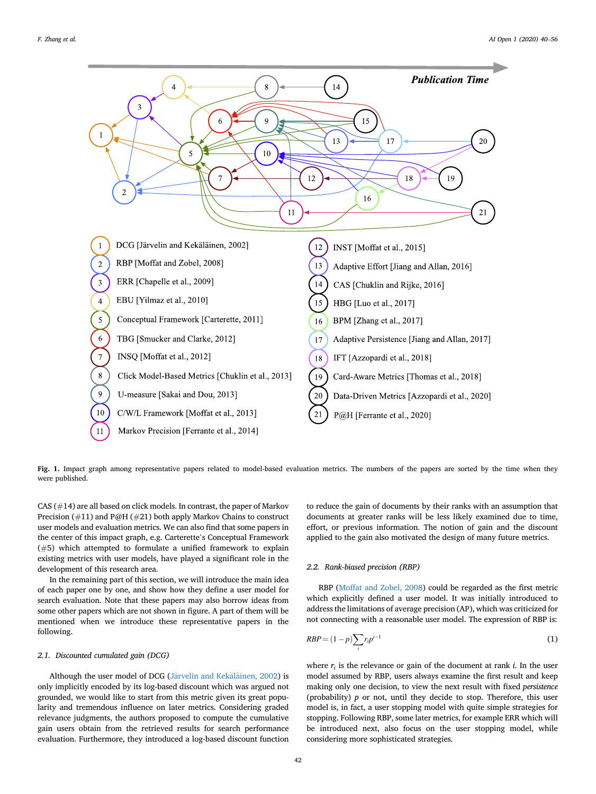<span id="page-2-0"></span>

Fig. 1. Impact graph among representative papers related to model-based evaluation metrics. The numbers of the papers are sorted by the time when they were published.

CAS (#14) are all based on click models. In contrast, the paper of Markov Precision (#11) and P@H (#21) both apply Markov Chains to construct user models and evaluation metrics. We can also find that some papers in the center of this impact graph, e.g. Carterette's Conceptual Framework (#5) which attempted to formulate a unified framework to explain existing metrics with user models, have played a significant role in the development of this research area.

In the remaining part of this section, we will introduce the main idea of each paper one by one, and show how they define a user model for search evaluation. Note that these papers may also borrow ideas from some other papers which are not shown in figure. A part of them will be mentioned when we introduce these representative papers in the following.

#### 2.1. Discounted cumulated gain (DCG)

Although the user model of DCG [\(J](#page-15-10)ärvelin and Kekälä[inen, 2002\)](#page-15-10) is only implicitly encoded by its log-based discount which was argued not grounded, we would like to start from this metric given its great popularity and tremendous influence on later metrics. Considering graded relevance judgments, the authors proposed to compute the cumulative gain users obtain from the retrieved results for search performance evaluation. Furthermore, they introduced a log-based discount function to reduce the gain of documents by their ranks with an assumption that documents at greater ranks will be less likely examined due to time, effort, or previous information. The notion of gain and the discount applied to the gain also motivated the design of many future metrics.

# 2.2. Rank-biased precision (RBP)

RBP ([Moffat and Zobel, 2008](#page-15-11)) could be regarded as the first metric which explicitly defined a user model. It was initially introduced to address the limitations of average precision (AP), which was criticized for not connecting with a reasonable user model. The expression of RBP is:

$$
RBP = (1 - p) \sum_{i} r_i p^{i-1}
$$
 (1)

where  $r_i$  is the relevance or gain of the document at rank *i*. In the user model assumed by RBP, users always examine the first result and keep making only one decision, to view the next result with fixed persistence (probability)  $p$  or not, until they decide to stop. Therefore, this user model is, in fact, a user stopping model with quite simple strategies for stopping. Following RBP, some later metrics, for example ERR which will be introduced next, also focus on the user stopping model, while considering more sophisticated strategies.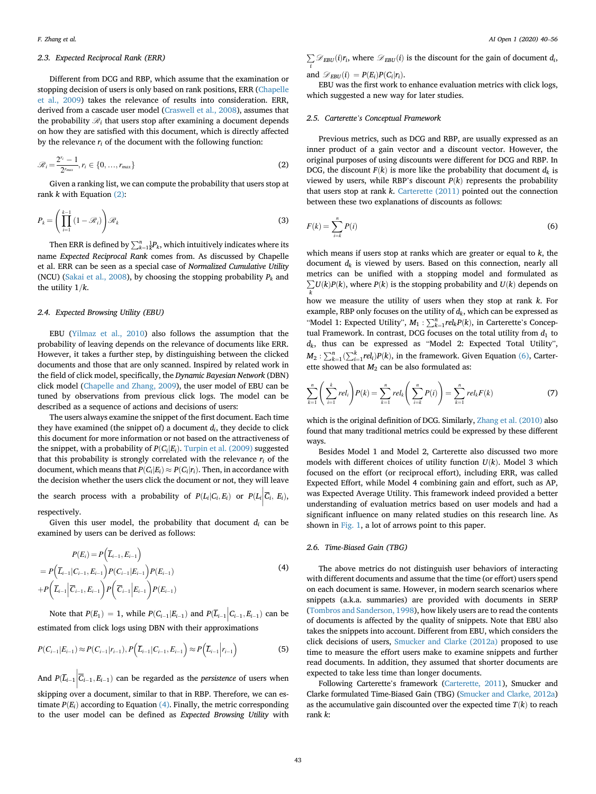# 2.3. Expected Reciprocal Rank (ERR)

Different from DCG and RBP, which assume that the examination or stopping decision of users is only based on rank positions, ERR [\(Chapelle](#page-15-14) [et al., 2009\)](#page-15-14) takes the relevance of results into consideration. ERR, derived from a cascade user model ([Craswell et al., 2008\)](#page-15-15), assumes that the probability  $\mathcal{R}_i$  that users stop after examining a document depends on how they are satisfied with this document, which is directly affected by the relevance  $r_i$  of the document with the following function:

<span id="page-3-0"></span>
$$
\mathscr{R}_i = \frac{2^{r_i} - 1}{2^{r_{max}}}, r_i \in \{0, ..., r_{max}\}
$$
\n(2)

Given a ranking list, we can compute the probability that users stop at rank  $k$  with Equation  $(2)$ :

$$
P_k = \left(\prod_{i=1}^{k-1} (1 - \mathcal{R}_i)\right) \mathcal{R}_k
$$
\n(3)

Then ERR is defined by  $\sum_{k=1}^{n} \frac{1}{k} P_k$ , which intuitively indicates where its name Expected Reciprocal Rank comes from. As discussed by Chapelle et al. ERR can be seen as a special case of Normalized Cumulative Utility (NCU) [\(Sakai et al., 2008\)](#page-16-7), by choosing the stopping probability  $P_k$  and the utility  $1/k$ .

# 2.4. Expected Browsing Utility (EBU)

EBU ([Yilmaz et al., 2010](#page-16-8)) also follows the assumption that the probability of leaving depends on the relevance of documents like ERR. However, it takes a further step, by distinguishing between the clicked documents and those that are only scanned. Inspired by related work in the field of click model, specifically, the Dynamic Bayesian Network (DBN) click model ([Chapelle and Zhang, 2009](#page-15-16)), the user model of EBU can be tuned by observations from previous click logs. The model can be described as a sequence of actions and decisions of users:

The users always examine the snippet of the first document. Each time they have examined (the snippet of) a document  $d_i$ , they decide to click this document for more information or not based on the attractiveness of the snippet, with a probability of  $P(C_i|E_i)$ . [Turpin et al. \(2009\)](#page-16-9) suggested that this probability is strongly correlated with the relevance  $r_i$  of the document, which means that  $P(C_i|E_i) \approx P(C_i|r_i)$ . Then, in accordance with the decision whether the users click the document or not, they will leave

the search process with a probability of  $P(L_i|C_i, E_i)$  or  $P(L_i|\overline{C_i}, E_i)$ , respectively.

Given this user model, the probability that document  $d_i$  can be examined by users can be derived as follows:

<span id="page-3-1"></span>
$$
P(E_i) = P(\overline{L}_{i-1}, E_{i-1})
$$
  
=  $P(\overline{L}_{i-1} | C_{i-1}, E_{i-1}) P(C_{i-1} | E_{i-1}) P(E_{i-1})$   
+  $P(\overline{L}_{i-1} | \overline{C}_{i-1}, E_{i-1}) P(\overline{C}_{i-1} | E_{i-1}) P(E_{i-1})$  (4)

Note that  $P(E_1) = 1$ , while  $P(C_{i-1} | E_{i-1})$  and  $P(\overline{L}_{i-1} | C_{i-1}, E_{i-1})$  can be estimated from click logs using DBN with their approximations

$$
P(C_{i-1}|E_{i-1}) \approx P(C_{i-1}|r_{i-1}), P(\overline{L}_{i-1}|C_{i-1}, E_{i-1}) \approx P(\overline{L}_{i-1}|r_{i-1})
$$
\n(5)

And  $P(\overline{L}_{i-1} | \overline{C}_{i-1}, E_{i-1})$  can be regarded as the *persistence* of users when skipping over a document, similar to that in RBP. Therefore, we can estimate  $P(E_i)$  according to Equation [\(4\)](#page-3-1). Finally, the metric corresponding to the user model can be defined as Expected Browsing Utility with

 $\sum_i \mathcal{D}_{EBU}(i)r_i$ , where  $\mathcal{D}_{EBU}(i)$  is the discount for the gain of document  $d_i$ , i and  $\mathcal{D}_{EBU}(i) = P(E_i)P(G_i|r_i)$ .

EBU was the first work to enhance evaluation metrics with click logs, which suggested a new way for later studies.

#### 2.5. Carterette's Conceptual Framework

Previous metrics, such as DCG and RBP, are usually expressed as an inner product of a gain vector and a discount vector. However, the original purposes of using discounts were different for DCG and RBP. In DCG, the discount  $F(k)$  is more like the probability that document  $d_k$  is viewed by users, while RBP's discount  $P(k)$  represents the probability that users stop at rank  $k$ . Carterette  $(2011)$  pointed out the connection between these two explanations of discounts as follows:

<span id="page-3-2"></span>
$$
F(k) = \sum_{i=k}^{n} P(i) \tag{6}
$$

which means if users stop at ranks which are greater or equal to  $k$ , the document  $d_k$  is viewed by users. Based on this connection, nearly all metrics can be unified with a stopping model and formulated as  $\sum_k U(k)P(k)$ , where  $P(k)$  is the stopping probability and  $U(k)$  depends on k how we measure the utility of users when they stop at rank k. For example, RBP only focuses on the utility of  $d_k$ , which can be expressed as "Model 1: Expected Utility",  $M_1 : \sum_{k=1}^n rel_kP(k)$ , in Carterette's Conceptual Example In contract, DCC focuses on the total utility from detection tual Framework. In contrast, DCG focuses on the total utility from  $d_1$  to  $d_k$ , thus can be expressed as "Model 2: Expected Total Utility",  $M_2: \sum_{k=1}^n (\sum_{i=1}^k rel_i)P(k)$ , in the framework. Given Equation [\(6\),](#page-3-2) Carter $m_2$ :  $\sum_{k=1}^{\infty}$  ( $\sum_{i=1}^{i \in I_1}$  ( $\kappa$ ), in the namework. Greater showed that  $M_2$  can be also formulated as:

$$
\sum_{k=1}^{n} \left( \sum_{i=1}^{k} rel_i \right) P(k) = \sum_{k=1}^{n} rel_k \left( \sum_{i=k}^{n} P(i) \right) = \sum_{k=1}^{n} rel_k F(k)
$$
 (7)

which is the original definition of DCG. Similarly, [Zhang et al. \(2010\)](#page-16-10) also found that many traditional metrics could be expressed by these different ways.

Besides Model 1 and Model 2, Carterette also discussed two more models with different choices of utility function  $U(k)$ . Model 3 which focused on the effort (or reciprocal effort), including ERR, was called Expected Effort, while Model 4 combining gain and effort, such as AP, was Expected Average Utility. This framework indeed provided a better understanding of evaluation metrics based on user models and had a significant influence on many related studies on this research line. As shown in [Fig. 1,](#page-2-0) a lot of arrows point to this paper.

# 2.6. Time-Biased Gain (TBG)

The above metrics do not distinguish user behaviors of interacting with different documents and assume that the time (or effort) users spend on each document is same. However, in modern search scenarios where snippets (a.k.a. summaries) are provided with documents in SERP ([Tombros and Sanderson, 1998\)](#page-16-11), how likely users are to read the contents of documents is affected by the quality of snippets. Note that EBU also takes the snippets into account. Different from EBU, which considers the click decisions of users, [Smucker and Clarke \(2012a\)](#page-16-12) proposed to use time to measure the effort users make to examine snippets and further read documents. In addition, they assumed that shorter documents are expected to take less time than longer documents.

Following Carterette's framework [\(Carterette, 2011](#page-15-8)), Smucker and Clarke formulated Time-Biased Gain (TBG) ([Smucker and Clarke, 2012a\)](#page-16-12) as the accumulative gain discounted over the expected time  $T(k)$  to reach rank k: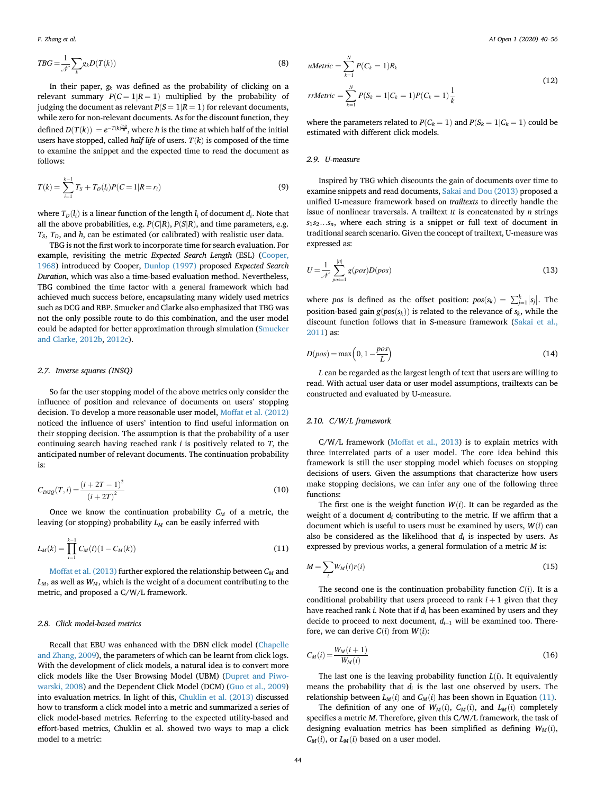$$
TBG = \frac{1}{\mathcal{N}} \sum_{k} g_k D(T(k))
$$
\n(8)

In their paper,  $g_k$  was defined as the probability of clicking on a relevant summary  $P(C = 1 | R = 1)$  multiplied by the probability of judging the document as relevant  $P(S = 1 | R = 1)$  for relevant documents, while zero for non-relevant documents. As for the discount function, they defined  $D(T(k)) = e^{-T(k)\frac{\ln 2}{\hbar}}$ , where h is the time at which half of the initial<br>wears have stanned, called half life of wears,  $T(k)$  is composed of the time users have stopped, called *half life* of users.  $T(k)$  is composed of the time to examine the snippet and the expected time to read the document as follows:

$$
T(k) = \sum_{i=1}^{k-1} T_S + T_D(l_i)P(C=1|R=r_i)
$$
\n(9)

where  $T_D(l_i)$  is a linear function of the length  $l_i$  of document  $d_i$ . Note that all the above probabilities, e.g.  $P(C|R)$ ,  $P(S|R)$ , and time parameters, e.g.  $T_S$ ,  $T_D$ , and  $h$ , can be estimated (or calibrated) with realistic user data.

TBG is not the first work to incorporate time for search evaluation. For example, revisiting the metric Expected Search Length (ESL) ([Cooper,](#page-15-17) [1968\)](#page-15-17) introduced by Cooper, [Dunlop \(1997\)](#page-15-18) proposed Expected Search Duration, which was also a time-based evaluation method. Nevertheless, TBG combined the time factor with a general framework which had achieved much success before, encapsulating many widely used metrics such as DCG and RBP. Smucker and Clarke also emphasized that TBG was not the only possible route to do this combination, and the user model could be adapted for better approximation through simulation ([Smucker](#page-16-13) [and Clarke, 2012b](#page-16-13), [2012c](#page-16-14)).

# 2.7. Inverse squares (INSQ)

So far the user stopping model of the above metrics only consider the influence of position and relevance of documents on users' stopping decision. To develop a more reasonable user model, [Moffat et al. \(2012\)](#page-15-6) noticed the influence of users' intention to find useful information on their stopping decision. The assumption is that the probability of a user continuing search having reached rank  $i$  is positively related to  $T$ , the anticipated number of relevant documents. The continuation probability is:

$$
C_{INSQ}(T,i) = \frac{(i + 2T - 1)^2}{(i + 2T)^2}
$$
\n(10)

<span id="page-4-0"></span>Once we know the continuation probability  $C_M$  of a metric, the leaving (or stopping) probability  $L_M$  can be easily inferred with

$$
L_M(k) = \prod_{i=1}^{k-1} C_M(i)(1 - C_M(k))
$$
\n(11)

[Moffat et al. \(2013\)](#page-15-9) further explored the relationship between  $C_M$  and  $L_M$ , as well as  $W_M$ , which is the weight of a document contributing to the metric, and proposed a C/W/L framework.

# 2.8. Click model-based metrics

Recall that EBU was enhanced with the DBN click model [\(Chapelle](#page-15-16) [and Zhang, 2009](#page-15-16)), the parameters of which can be learnt from click logs. With the development of click models, a natural idea is to convert more click models like the User Browsing Model (UBM) [\(Dupret and Piwo](#page-15-19)[warski, 2008\)](#page-15-19) and the Dependent Click Model (DCM) [\(Guo et al., 2009\)](#page-15-20) into evaluation metrics. In light of this, [Chuklin et al. \(2013\)](#page-15-21) discussed how to transform a click model into a metric and summarized a series of click model-based metrics. Referring to the expected utility-based and effort-based metrics, Chuklin et al. showed two ways to map a click model to a metric:

*uMetric* = 
$$
\sum_{k=1}^{N} P(C_k = 1)R_k
$$
  
*rrMetric* =  $\sum_{k=1}^{N} P(S_k = 1 | C_k = 1)P(C_k = 1)\frac{1}{k}$  (12)

where the parameters related to  $P(C_k = 1)$  and  $P(S_k = 1 | C_k = 1)$  could be estimated with different click models.

# 2.9. U-measure

Inspired by TBG which discounts the gain of documents over time to examine snippets and read documents, [Sakai and Dou \(2013\)](#page-16-15) proposed a unified U-measure framework based on trailtexts to directly handle the issue of nonlinear traversals. A trailtext  $tt$  is concatenated by  $n$  strings  $s_1s_2...s_n$ , where each string is a snippet or full text of document in traditional search scenario. Given the concept of trailtext, U-measure was expressed as:

$$
U = \frac{1}{\mathcal{N}} \sum_{pos=1}^{|t|} g(pos)D(pos)
$$
\n(13)

where pos is defined as the offset position:  $pos(s_k) = \sum_{j=1}^{k} |s_j|$ . The position-based gain  $g(pos(s_k))$  is related to the relevance of  $s_k$ , while the discount function follows that in S-measure framework [\(Sakai et al.,](#page-16-16) [2011\)](#page-16-16) as:

$$
D(pos) = \max\left(0, 1 - \frac{pos}{L}\right) \tag{14}
$$

L can be regarded as the largest length of text that users are willing to read. With actual user data or user model assumptions, trailtexts can be constructed and evaluated by U-measure.

# 2.10. C/W/L framework

C/W/L framework ([Moffat et al., 2013\)](#page-15-9) is to explain metrics with three interrelated parts of a user model. The core idea behind this framework is still the user stopping model which focuses on stopping decisions of users. Given the assumptions that characterize how users make stopping decisions, we can infer any one of the following three functions:

The first one is the weight function  $W(i)$ . It can be regarded as the weight of a document  $d_i$  contributing to the metric. If we affirm that a document which is useful to users must be examined by users,  $W(i)$  can also be considered as the likelihood that  $d_i$  is inspected by users. As expressed by previous works, a general formulation of a metric M is:

$$
M = \sum_{i} W_M(i)r(i)
$$
 (15)

The second one is the continuation probability function  $C(i)$ . It is a conditional probability that users proceed to rank  $i + 1$  given that they have reached rank *i*. Note that if  $d_i$  has been examined by users and they decide to proceed to next document,  $d_{i+1}$  will be examined too. Therefore, we can derive  $C(i)$  from  $W(i)$ :

$$
C_M(i) = \frac{W_M(i+1)}{W_M(i)}
$$
\n<sup>(16)</sup>

The last one is the leaving probability function  $L(i)$ . It equivalently means the probability that  $d_i$  is the last one observed by users. The relationship between  $L_M(i)$  and  $C_M(i)$  has been shown in Equation [\(11\)](#page-4-0).

The definition of any one of  $W_M(i)$ ,  $C_M(i)$ , and  $L_M(i)$  completely specifies a metric M. Therefore, given this C/W/L framework, the task of designing evaluation metrics has been simplified as defining  $W_M(i)$ ,  $C_M(i)$ , or  $L_M(i)$  based on a user model.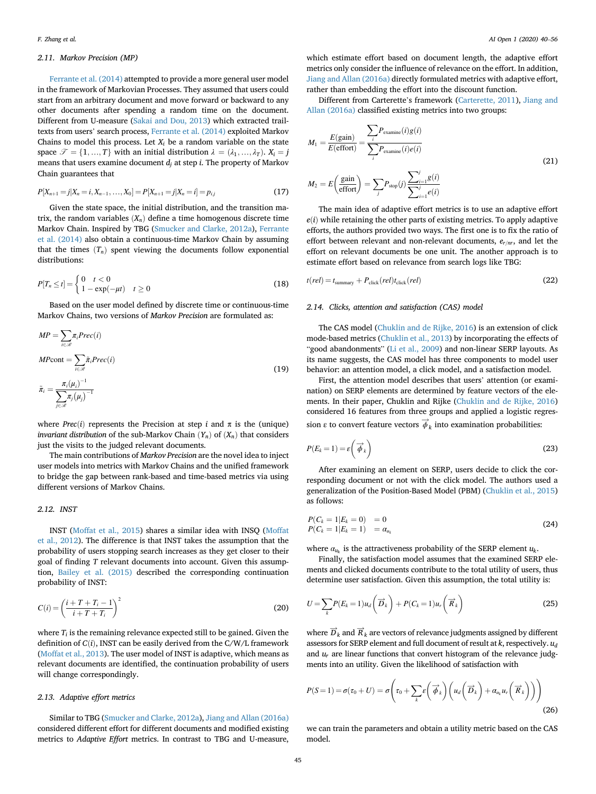# 2.11. Markov Precision (MP)

[Ferrante et al. \(2014\)](#page-15-22) attempted to provide a more general user model in the framework of Markovian Processes. They assumed that users could start from an arbitrary document and move forward or backward to any other documents after spending a random time on the document. Different from U-measure [\(Sakai and Dou, 2013](#page-16-15)) which extracted trailtexts from users' search process, [Ferrante et al. \(2014\)](#page-15-22) exploited Markov Chains to model this process. Let  $X_i$  be a random variable on the state space  $\mathcal{T} = \{1, ..., T\}$  with an initial distribution  $\lambda = (\lambda_1, ..., \lambda_T)$ .  $X_i = j$ means that users examine document  $d_i$  at step *i*. The property of Markov Chain guarantees that

$$
P[X_{n+1} = j | X_n = i, X_{n-1}, \dots, X_0] = P[X_{n+1} = j | X_n = i] = p_{i,j}
$$
\n(17)

Given the state space, the initial distribution, and the transition matrix, the random variables  $(X_n)$  define a time homogenous discrete time Markov Chain. Inspired by TBG ([Smucker and Clarke, 2012a\)](#page-16-12), [Ferrante](#page-15-22) [et al. \(2014\)](#page-15-22) also obtain a continuous-time Markov Chain by assuming that the times  $(T_n)$  spent viewing the documents follow exponential distributions:

$$
P[T_n \le t] = \begin{cases} 0 & t < 0 \\ 1 - \exp(-\mu t) & t \ge 0 \end{cases} \tag{18}
$$

Based on the user model defined by discrete time or continuous-time Markov Chains, two versions of Markov Precision are formulated as:

$$
MP = \sum_{i \in \mathcal{R}} \pi_i \text{Prec}(i)
$$
  
\n
$$
MP \text{cont} = \sum_{i \in \mathcal{R}} \tilde{\pi}_i \text{Prec}(i)
$$
  
\n
$$
\tilde{\pi}_i = \frac{\pi_i(\mu_i)^{-1}}{\sum_{j \in \mathcal{R}} \pi_j(\mu_j)^{-1}}
$$
\n(19)

where *Prec(i)* represents the Precision at step i and  $\pi$  is the (unique) *invariant distribution* of the sub-Markov Chain  $(Y_n)$  of  $(X_n)$  that considers just the visits to the judged relevant documents.

The main contributions of Markov Precision are the novel idea to inject user models into metrics with Markov Chains and the unified framework to bridge the gap between rank-based and time-based metrics via using different versions of Markov Chains.

### 2.12. INST

INST ([Moffat et al., 2015\)](#page-16-17) shares a similar idea with INSQ ([Moffat](#page-15-6) [et al., 2012](#page-15-6)). The difference is that INST takes the assumption that the probability of users stopping search increases as they get closer to their goal of finding T relevant documents into account. Given this assumption, [Bailey et al. \(2015\)](#page-15-23) described the corresponding continuation probability of INST:

$$
C(i) = \left(\frac{i+T+T_i-1}{i+T+T_i}\right)^2\tag{20}
$$

where  $T_i$  is the remaining relevance expected still to be gained. Given the definition of  $C(i)$ , INST can be easily derived from the C/W/L framework ([Moffat et al., 2013\)](#page-15-9). The user model of INST is adaptive, which means as relevant documents are identified, the continuation probability of users will change correspondingly.

# 2.13. Adaptive effort metrics

Similar to TBG [\(Smucker and Clarke, 2012a\)](#page-16-12), [Jiang and Allan \(2016a\)](#page-15-24) considered different effort for different documents and modified existing metrics to Adaptive Effort metrics. In contrast to TBG and U-measure,

which estimate effort based on document length, the adaptive effort metrics only consider the influence of relevance on the effort. In addition, [Jiang and Allan \(2016a\)](#page-15-24) directly formulated metrics with adaptive effort, rather than embedding the effort into the discount function.

Different from Carterette's framework [\(Carterette, 2011\)](#page-15-8), [Jiang and](#page-15-24) [Allan \(2016a\)](#page-15-24) classified existing metrics into two groups:

$$
M_1 = \frac{E(\text{gain})}{E(\text{effort})} = \frac{\sum_{i} P_{\text{examine}}(i)g(i)}{\sum_{i} P_{\text{examine}}(i)e(i)}
$$
  

$$
M_2 = E\left(\frac{\text{gain}}{\text{effort}}\right) = \sum_{j} P_{\text{stop}}(j) \frac{\sum_{i=1}^{j} g(i)}{\sum_{i=1}^{j} e(i)}
$$
(21)

The main idea of adaptive effort metrics is to use an adaptive effort  $e(i)$  while retaining the other parts of existing metrics. To apply adaptive efforts, the authors provided two ways. The first one is to fix the ratio of effort between relevant and non-relevant documents,  $e_{r/m}$ , and let the effort on relevant documents be one unit. The another approach is to estimate effort based on relevance from search logs like TBG:

$$
t(\text{rel}) = t_{\text{summary}} + P_{\text{click}}(\text{rel})t_{\text{click}}(\text{rel})
$$
\n(22)

### 2.14. Clicks, attention and satisfaction (CAS) model

The CAS model ([Chuklin and de Rijke, 2016](#page-15-25)) is an extension of click mode-based metrics ([Chuklin et al., 2013\)](#page-15-21) by incorporating the effects of "good abandonments" ([Li et al., 2009](#page-15-26)) and non-linear SERP layouts. As its name suggests, the CAS model has three components to model user behavior: an attention model, a click model, and a satisfaction model.

First, the attention model describes that users' attention (or examination) on SERP elements are determined by feature vectors of the elements. In their paper, Chuklin and Rijke [\(Chuklin and de Rijke, 2016\)](#page-15-25) considered 16 features from three groups and applied a logistic regression  $\varepsilon$  to convert feature vectors  $\phi_k$  into examination probabilities:

$$
P(E_k = 1) = \varepsilon \left( \overrightarrow{\phi}_k \right)
$$
 (23)

After examining an element on SERP, users decide to click the corresponding document or not with the click model. The authors used a generalization of the Position-Based Model (PBM) ([Chuklin et al., 2015\)](#page-15-27) as follows:

$$
P(C_k = 1|E_k = 0) = 0P(C_k = 1|E_k = 1) = \alpha_{u_k}
$$
\n(24)

where  $a_{u}$  is the attractiveness probability of the SERP element  $u_k$ .

Finally, the satisfaction model assumes that the examined SERP elements and clicked documents contribute to the total utility of users, thus determine user satisfaction. Given this assumption, the total utility is:

$$
U = \sum_{k} P(E_k = 1) u_d \left( \overrightarrow{D}_k \right) + P(C_k = 1) u_r \left( \overrightarrow{R}_k \right)
$$
 (25)

where  $D_k$  and  $R_k$  are vectors of relevance judgments assigned by different assessors for SERP element and full document of result at  $k$ , respectively.  $u_d$ and  $u_r$  are linear functions that convert histogram of the relevance judgments into an utility. Given the likelihood of satisfaction with

$$
P(S=1) = \sigma(\tau_0 + U) = \sigma\left(\tau_0 + \sum_k \varepsilon\left(\overrightarrow{\phi}_k\right) \left(u_d\left(\overrightarrow{D}_k\right) + \alpha_{u_k} u_r\left(\overrightarrow{R}_k\right)\right)\right)
$$
(26)

we can train the parameters and obtain a utility metric based on the CAS model.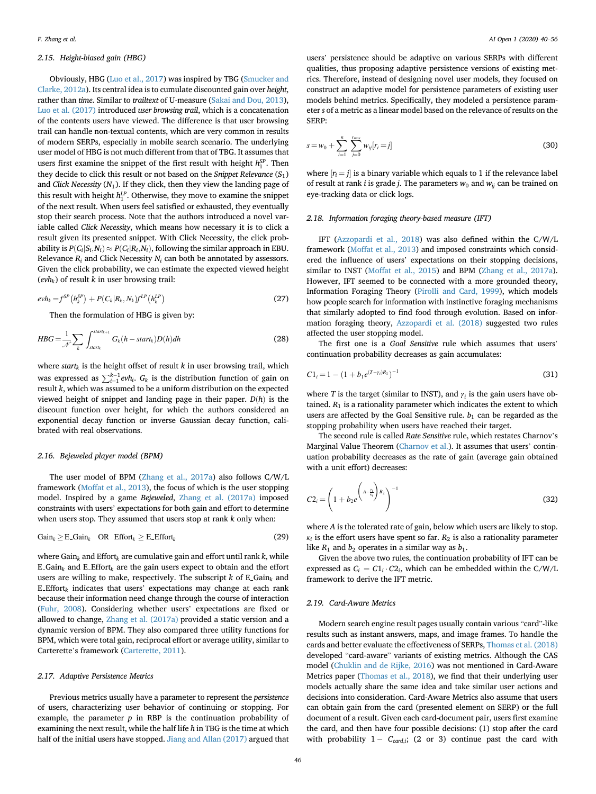# 2.15. Height-biased gain (HBG)

Obviously, HBG ([Luo et al., 2017](#page-15-28)) was inspired by TBG ([Smucker and](#page-16-12) [Clarke, 2012a\)](#page-16-12). Its central idea is to cumulate discounted gain over height, rather than time. Similar to trailtext of U-measure ([Sakai and Dou, 2013\)](#page-16-15), [Luo et al. \(2017\)](#page-15-28) introduced user browsing trail, which is a concatenation of the contents users have viewed. The difference is that user browsing trail can handle non-textual contents, which are very common in results of modern SERPs, especially in mobile search scenario. The underlying user model of HBG is not much different from that of TBG. It assumes that users first examine the snippet of the first result with height  $h_1^{SP}$ . Then they decide to click this result or not based on the Snippet Relevance  $(S_1)$ and Click Necessity  $(N_1)$ . If they click, then they view the landing page of this result with height  $h_1^{\text{LP}}$ . Otherwise, they move to examine the snippet of the next result. When users feel satisfied or exhausted, they eventually stop their search process. Note that the authors introduced a novel variable called Click Necessity, which means how necessary it is to click a result given its presented snippet. With Click Necessity, the click probability is  $P(C_i|S_i,N_i) \approx P(C_i|R_i,N_i)$ , following the similar approach in EBU. Relevance  $R_i$  and Click Necessity  $N_i$  can both be annotated by assessors. Given the click probability, we can estimate the expected viewed height  $(evh_k)$  of result k in user browsing trail:

$$
evh_k = f^{SP}(h_k^{SP}) + P(C_k|R_k, N_k)f^{LP}(h_k^{LP})
$$
\n(27)

Then the formulation of HBG is given by:

$$
HBG = \frac{1}{\mathcal{N}} \sum_{k} \int_{start_k}^{start_{k+1}} G_k(h - start_k) D(h) dh
$$
 (28)

where start<sub>k</sub> is the height offset of result  $k$  in user browsing trail, which was expressed as  $\sum_{i=1}^{k-1} ev h_i$ .  $G_k$  is the distribution function of gain on received to be a uniform distribution on the currected result k, which was assumed to be a uniform distribution on the expected viewed height of snippet and landing page in their paper.  $D(h)$  is the discount function over height, for which the authors considered an exponential decay function or inverse Gaussian decay function, calibrated with real observations.

# 2.16. Bejeweled player model (BPM)

The user model of BPM ([Zhang et al., 2017a\)](#page-16-18) also follows C/W/L framework ([Moffat et al., 2013](#page-15-9)), the focus of which is the user stopping model. Inspired by a game Bejeweled, [Zhang et al. \(2017a\)](#page-16-18) imposed constraints with users' expectations for both gain and effort to determine when users stop. They assumed that users stop at rank  $k$  only when:

$$
Gain_k \geq E\_Gain_k \quad OR \quad Effect_k \geq E\_Effort_k \tag{29}
$$

where Gain<sub>k</sub> and Effort<sub>k</sub> are cumulative gain and effort until rank k, while E\_Gain<sub>k</sub> and E\_Effort<sub>k</sub> are the gain users expect to obtain and the effort users are willing to make, respectively. The subscript  $k$  of E<sub>-Gaink</sub> and E Effort $_k$  indicates that users' expectations may change at each rank because their information need change through the course of interaction ([Fuhr, 2008\)](#page-15-29). Considering whether users' expectations are fixed or allowed to change, [Zhang et al. \(2017a\)](#page-16-18) provided a static version and a dynamic version of BPM. They also compared three utility functions for BPM, which were total gain, reciprocal effort or average utility, similar to Carterette's framework ([Carterette, 2011\)](#page-15-8).

#### 2.17. Adaptive Persistence Metrics

Previous metrics usually have a parameter to represent the persistence of users, characterizing user behavior of continuing or stopping. For example, the parameter  $p$  in RBP is the continuation probability of examining the next result, while the half life h in TBG is the time at which half of the initial users have stopped. [Jiang and Allan \(2017\)](#page-15-30) argued that

users' persistence should be adaptive on various SERPs with different qualities, thus proposing adaptive persistence versions of existing metrics. Therefore, instead of designing novel user models, they focused on construct an adaptive model for persistence parameters of existing user models behind metrics. Specifically, they modeled a persistence parameter s of a metric as a linear model based on the relevance of results on the SERP:

$$
s = w_0 + \sum_{i=1}^{n} \sum_{j=0}^{r_{max}} w_{ij}[r_i = j]
$$
\n(30)

where  $|r_i = i|$  is a binary variable which equals to 1 if the relevance label of result at rank *i* is grade *j*. The parameters  $w_0$  and  $w_{ii}$  can be trained on eye-tracking data or click logs.

# 2.18. Information foraging theory-based measure (IFT)

IFT [\(Azzopardi et al., 2018](#page-15-31)) was also defined within the C/W/L framework [\(Moffat et al., 2013\)](#page-15-9) and imposed constraints which considered the influence of users' expectations on their stopping decisions, similar to INST ([Moffat et al., 2015](#page-16-17)) and BPM ([Zhang et al., 2017a\)](#page-16-18). However, IFT seemed to be connected with a more grounded theory, Information Foraging Theory [\(Pirolli and Card, 1999](#page-16-19)), which models how people search for information with instinctive foraging mechanisms that similarly adopted to find food through evolution. Based on information foraging theory, [Azzopardi et al. \(2018\)](#page-15-31) suggested two rules affected the user stopping model.

The first one is a Goal Sensitive rule which assumes that users' continuation probability decreases as gain accumulates:

$$
C1_i = 1 - (1 + b_1 e^{(T - \gamma_i)R_1})^{-1}
$$
\n(31)

where T is the target (similar to INST), and  $\gamma_i$  is the gain users have obtained.  $R_1$  is a rationality parameter which indicates the extent to which users are affected by the Goal Sensitive rule.  $b_1$  can be regarded as the stopping probability when users have reached their target.

The second rule is called Rate Sensitive rule, which restates Charnov's Marginal Value Theorem [\(Charnov et al.](#page-15-32)). It assumes that users' continuation probability decreases as the rate of gain (average gain obtained with a unit effort) decreases:

$$
C2_i = \left(1 + b_2 e^{\left(A - \frac{y_i}{k_i}\right) R_2}\right)^{-1}
$$
\n(32)

where A is the tolerated rate of gain, below which users are likely to stop.  $\kappa_i$  is the effort users have spent so far.  $R_2$  is also a rationality parameter like  $R_1$  and  $b_2$  operates in a similar way as  $b_1$ .

Given the above two rules, the continuation probability of IFT can be expressed as  $C_i = C1_i \cdot C2_i$ , which can be embedded within the C/W/L framework to derive the IFT metric.

# 2.19. Card-Aware Metrics

Modern search engine result pages usually contain various "card"-like results such as instant answers, maps, and image frames. To handle the cards and better evaluate the effectiveness of SERPs, [Thomas et al. \(2018\)](#page-16-20) developed "card-aware" variants of existing metrics. Although the CAS model ([Chuklin and de Rijke, 2016](#page-15-25)) was not mentioned in Card-Aware Metrics paper [\(Thomas et al., 2018](#page-16-20)), we find that their underlying user models actually share the same idea and take similar user actions and decisions into consideration. Card-Aware Metrics also assume that users can obtain gain from the card (presented element on SERP) or the full document of a result. Given each card-document pair, users first examine the card, and then have four possible decisions: (1) stop after the card with probability  $1 - C_{card,i}$ ; (2 or 3) continue past the card with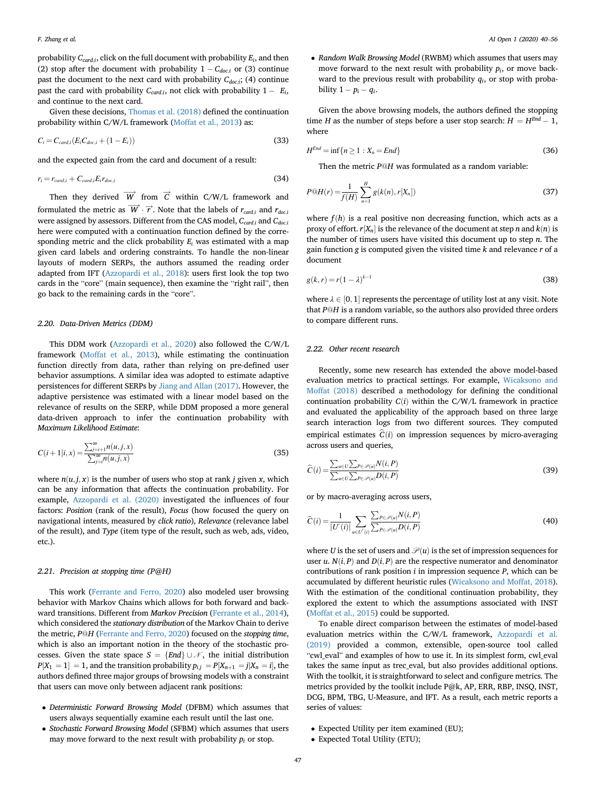probability  $C_{card,i}$ , click on the full document with probability  $E_i$ , and then (2) stop after the document with probability  $1 - C_{doci}$  or (3) continue past the document to the next card with probability  $C_{doc,i}$ ; (4) continue past the card with probability  $C_{card,i}$ , not click with probability  $1 - E_i$ , and continue to the next card.

Given these decisions, [Thomas et al. \(2018\)](#page-16-20) defined the continuation probability within C/W/L framework [\(Moffat et al., 2013\)](#page-15-9) as:

$$
C_i = C_{card,i}(E_i C_{doc,i} + (1 - E_i))
$$
\n(33)

and the expected gain from the card and document of a result:

$$
r_i = r_{card,i} + C_{card,i} E_i r_{doc,i}
$$
\n(34)

Then they derived 
$$
\overrightarrow{W}
$$
 from  $\overrightarrow{C}$  within C/W/L framework and

formulated the metric as  $\overrightarrow{W} \cdot \overrightarrow{r}$ . Note that the labels of  $r_{card,i}$  and  $r_{doc,i}$ <br>were assigned by assessors. Different from the CAS model,  $C_{c}$  and  $C_{c}$ were assigned by assessors. Different from the CAS model,  $C_{card,i}$  and  $C_{doc,i}$ here were computed with a continuation function defined by the corresponding metric and the click probability  $E_i$  was estimated with a map given card labels and ordering constraints. To handle the non-linear layouts of modern SERPs, the authors assumed the reading order adapted from IFT [\(Azzopardi et al., 2018](#page-15-31)): users first look the top two cards in the "core" (main sequence), then examine the "right rail", then go back to the remaining cards in the "core".

# 2.20. Data-Driven Metrics (DDM)

This DDM work ([Azzopardi et al., 2020](#page-15-33)) also followed the C/W/L framework [\(Moffat et al., 2013\)](#page-15-9), while estimating the continuation function directly from data, rather than relying on pre-defined user behavior assumptions. A similar idea was adopted to estimate adaptive persistences for different SERPs by [Jiang and Allan \(2017\)](#page-15-30). However, the adaptive persistence was estimated with a linear model based on the relevance of results on the SERP, while DDM proposed a more general data-driven approach to infer the continuation probability with Maximum Likelihood Estimate:

$$
C(i+1|i,x) = \frac{\sum_{j=i+1}^{\infty} n(u,j,x)}{\sum_{j=i}^{\infty} n(u,j,x)}
$$
(35)

where  $n(u, j, x)$  is the number of users who stop at rank j given x, which can be any information that affects the continuation probability. For example, [Azzopardi et al. \(2020\)](#page-15-33) investigated the influences of four factors: Position (rank of the result), Focus (how focused the query on navigational intents, measured by click ratio), Relevance (relevance label of the result), and Type (item type of the result, such as web, ads, video, etc.).

#### 2.21. Precision at stopping time (P@H)

This work ([Ferrante and Ferro, 2020](#page-15-34)) also modeled user browsing behavior with Markov Chains which allows for both forward and backward transitions. Different from Markov Precision ([Ferrante et al., 2014\)](#page-15-22), which considered the stationary distribution of the Markov Chain to derive the metric, P@H [\(Ferrante and Ferro, 2020](#page-15-34)) focused on the stopping time, which is also an important notion in the theory of the stochastic processes. Given the state space  $S = \{End\} \cup \mathcal{N}$ , the initial distribution  $P[X_1 = 1] = 1$ , and the transition probability  $p_{i,j} = P[X_{n+1} = j|X_n = i]$ , the authors defined three major groups of browsing models with a constraint that users can move only between adjacent rank positions:

- Deterministic Forward Browsing Model (DFBM) which assumes that users always sequentially examine each result until the last one.
- Stochastic Forward Browsing Model (SFBM) which assumes that users may move forward to the next result with probability  $p_i$  or stop.

• Random Walk Browsing Model (RWBM) which assumes that users may move forward to the next result with probability  $p_i$ , or move backward to the previous result with probability  $q_i$ , or stop with probability  $1 - p_i - q_i$ .

Given the above browsing models, the authors defined the stopping time H as the number of steps before a user stop search:  $H = H^{End} - 1$ , where

$$
H^{End} = \inf\{n \ge 1 : X_n = End\}
$$
\n(36)

Then the metric  $P@H$  was formulated as a random variable:

$$
P@H(r) = \frac{1}{f(H)} \sum_{n=1}^{H} g(k(n), r[X_n])
$$
\n(37)

where  $f(h)$  is a real positive non decreasing function, which acts as a proxy of effort.  $r[X_n]$  is the relevance of the document at step n and  $k(n)$  is the number of times users have visited this document up to step  $n$ . The gain function g is computed given the visited time  $k$  and relevance  $r$  of a document

$$
g(k,r) = r(1-\lambda)^{k-1}
$$
\n(38)

where  $\lambda \in [0,1]$  represents the percentage of utility lost at any visit. Note that P@H is a random variable, so the authors also provided three orders to compare different runs.

# 2.22. Other recent research

Recently, some new research has extended the above model-based evaluation metrics to practical settings. For example, [Wicaksono and](#page-16-21) [Moffat \(2018\)](#page-16-21) described a methodology for defining the conditional continuation probability  $C(i)$  within the C/W/L framework in practice and evaluated the applicability of the approach based on three large search interaction logs from two different sources. They computed empirical estimates  $\hat{C}(i)$  on impression sequences by micro-averaging across users and queries,

$$
\widehat{C}(i) = \frac{\sum_{u \in U} \sum_{P \in \mathcal{P}(u)} N(i, P)}{\sum_{u \in U} \sum_{P \in \mathcal{P}(u)} D(i, P)}
$$
(39)

or by macro-averaging across users,

$$
\widehat{C}(i) = \frac{1}{|U'(i)|} \sum_{u \in U'(i)} \frac{\sum_{P \in \mathscr{P}(u)} N(i, P)}{\sum_{P \in \mathscr{P}(u)} D(i, P)} \tag{40}
$$

where U is the set of users and  $\mathcal{P}(u)$  is the set of impression sequences for user u.  $N(i, P)$  and  $D(i, P)$  are the respective numerator and denominator contributions of rank position  $i$  in impression sequence  $P$ , which can be accumulated by different heuristic rules ([Wicaksono and Moffat, 2018\)](#page-16-21). With the estimation of the conditional continuation probability, they explored the extent to which the assumptions associated with INST ([Moffat et al., 2015\)](#page-16-17) could be supported.

To enable direct comparison between the estimates of model-based evaluation metrics within the C/W/L framework, [Azzopardi et al.](#page-15-35) [\(2019\)](#page-15-35) provided a common, extensible, open-source tool called "cwl\_eval" and examples of how to use it. In its simplest form, cwl\_eval takes the same input as trec\_eval, but also provides additional options. With the toolkit, it is straightforward to select and configure metrics. The metrics provided by the toolkit include P@k, AP, ERR, RBP, INSQ, INST, DCG, BPM, TBG, U-Measure, and IFT. As a result, each metric reports a series of values:

- Expected Utility per item examined (EU);
- Expected Total Utility (ETU);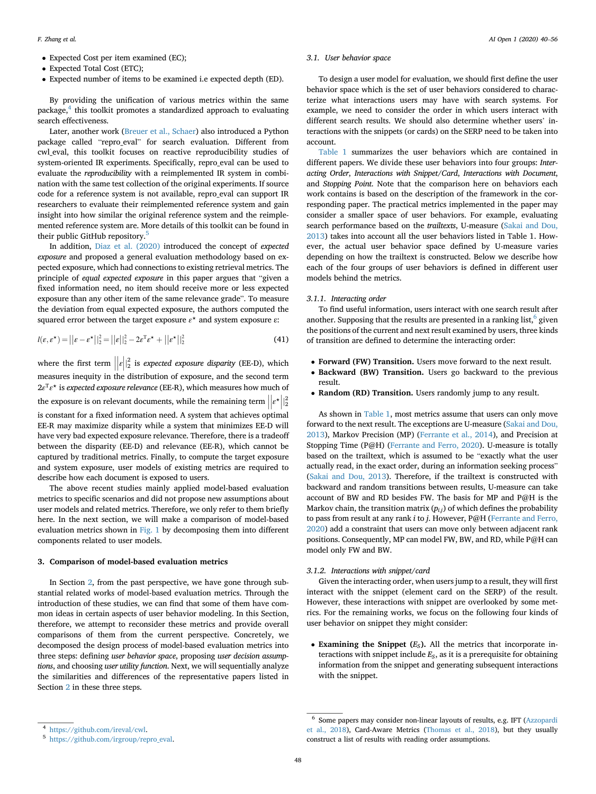- Expected Cost per item examined (EC);
- Expected Total Cost (ETC);
- Expected number of items to be examined i.e expected depth (ED).

By providing the unification of various metrics within the same package,<sup>4</sup> this toolkit promotes a standardized approach to evaluating search effectiveness.

Later, another work ([Breuer et al., Schaer\)](#page-15-36) also introduced a Python package called "repro\_eval" for search evaluation. Different from cwl\_eval, this toolkit focuses on reactive reproducibility studies of system-oriented IR experiments. Specifically, repro\_eval can be used to evaluate the reproducibility with a reimplemented IR system in combination with the same test collection of the original experiments. If source code for a reference system is not available, repro\_eval can support IR researchers to evaluate their reimplemented reference system and gain insight into how similar the original reference system and the reimplemented reference system are. More details of this toolkit can be found in their public GitHub repository.[5](#page-8-2)

In addition, [Diaz et al. \(2020\)](#page-15-37) introduced the concept of expected exposure and proposed a general evaluation methodology based on expected exposure, which had connections to existing retrieval metrics. The principle of equal expected exposure in this paper argues that "given a fixed information need, no item should receive more or less expected exposure than any other item of the same relevance grade". To measure the deviation from equal expected exposure, the authors computed the squared error between the target exposure  $\varepsilon^*$  and system exposure  $\varepsilon$ :

$$
l(\varepsilon, \varepsilon^*) = ||\varepsilon - \varepsilon^*||_2^2 = ||\varepsilon||_2^2 - 2\varepsilon^{\mathrm{T}} \varepsilon^* + ||\varepsilon^*||_2^2
$$
\n(41)

where the first term  $||\epsilon||$  $\frac{2}{2}$  is expected exposure disparity (EE-D), which measures inequity in the distribution of exposure, and the second term  $2e^{T} \varepsilon^{\star}$  is expected exposure relevance (EE-R), which measures how much of the exposure is on relevant documents, while the remaining term  $||e^{\star}||_2^2$ is constant for a fixed information need. A system that achieves optimal EE-R may maximize disparity while a system that minimizes EE-D will have very bad expected exposure relevance. Therefore, there is a tradeoff between the disparity (EE-D) and relevance (EE-R), which cannot be captured by traditional metrics. Finally, to compute the target exposure and system exposure, user models of existing metrics are required to describe how each document is exposed to users.

The above recent studies mainly applied model-based evaluation metrics to specific scenarios and did not propose new assumptions about user models and related metrics. Therefore, we only refer to them briefly here. In the next section, we will make a comparison of model-based evaluation metrics shown in [Fig. 1](#page-2-0) by decomposing them into different components related to user models.

# <span id="page-8-0"></span>3. Comparison of model-based evaluation metrics

In Section [2](#page-1-0), from the past perspective, we have gone through substantial related works of model-based evaluation metrics. Through the introduction of these studies, we can find that some of them have common ideas in certain aspects of user behavior modeling. In this Section, therefore, we attempt to reconsider these metrics and provide overall comparisons of them from the current perspective. Concretely, we decomposed the design process of model-based evaluation metrics into three steps: defining user behavior space, proposing user decision assumptions, and choosing user utility function. Next, we will sequentially analyze the similarities and differences of the representative papers listed in Section [2](#page-1-0) in these three steps.

### <span id="page-8-4"></span>3.1. User behavior space

To design a user model for evaluation, we should first define the user behavior space which is the set of user behaviors considered to characterize what interactions users may have with search systems. For example, we need to consider the order in which users interact with different search results. We should also determine whether users' interactions with the snippets (or cards) on the SERP need to be taken into account.

[Table 1](#page-9-0) summarizes the user behaviors which are contained in different papers. We divide these user behaviors into four groups: Interacting Order, Interactions with Snippet/Card, Interactions with Document, and Stopping Point. Note that the comparison here on behaviors each work contains is based on the description of the framework in the corresponding paper. The practical metrics implemented in the paper may consider a smaller space of user behaviors. For example, evaluating search performance based on the *trailtexts*, U-measure ([Sakai and Dou,](#page-16-15) [2013\)](#page-16-15) takes into account all the user behaviors listed in Table 1. However, the actual user behavior space defined by U-measure varies depending on how the trailtext is constructed. Below we describe how each of the four groups of user behaviors is defined in different user models behind the metrics.

# 3.1.1. Interacting order

To find useful information, users interact with one search result after another. Supposing that the results are presented in a ranking list,  $6$  given the positions of the current and next result examined by users, three kinds of transition are defined to determine the interacting order:

- Forward (FW) Transition. Users move forward to the next result.
- Backward (BW) Transition. Users go backward to the previous result.
- Random (RD) Transition. Users randomly jump to any result.

As shown in [Table 1](#page-9-0), most metrics assume that users can only move forward to the next result. The exceptions are U-measure [\(Sakai and Dou,](#page-16-15) [2013\)](#page-16-15), Markov Precision (MP) ([Ferrante et al., 2014\)](#page-15-22), and Precision at Stopping Time (P@H) [\(Ferrante and Ferro, 2020](#page-15-34)). U-measure is totally based on the trailtext, which is assumed to be "exactly what the user actually read, in the exact order, during an information seeking process" ([Sakai and Dou, 2013](#page-16-15)). Therefore, if the trailtext is constructed with backward and random transitions between results, U-measure can take account of BW and RD besides FW. The basis for MP and P@H is the Markov chain, the transition matrix  $(p_{i,j})$  of which defines the probability to pass from result at any rank i to j. However, P@H ([Ferrante and Ferro,](#page-15-34) [2020\)](#page-15-34) add a constraint that users can move only between adjacent rank positions. Consequently, MP can model FW, BW, and RD, while P@H can model only FW and BW.

#### 3.1.2. Interactions with snippet/card

Given the interacting order, when users jump to a result, they will first interact with the snippet (element card on the SERP) of the result. However, these interactions with snippet are overlooked by some metrics. For the remaining works, we focus on the following four kinds of user behavior on snippet they might consider:

• Examining the Snippet  $(E_S)$ . All the metrics that incorporate interactions with snippet include  $E_s$ , as it is a prerequisite for obtaining information from the snippet and generating subsequent interactions with the snippet.

<span id="page-8-1"></span><sup>4</sup> [https://github.com/ireval/cwl.](https://github.com/ireval/cwl)

<span id="page-8-2"></span><sup>5</sup> [https://github.com/irgroup/repro\\_eval](https://github.com/irgroup/repro_eval).

<span id="page-8-3"></span> $^6\,$  Some papers may consider non-linear layouts of results, e.g. IFT ([Azzopardi](#page-15-31) [et al., 2018](#page-15-31)), Card-Aware Metrics [\(Thomas et al., 2018](#page-16-20)), but they usually construct a list of results with reading order assumptions.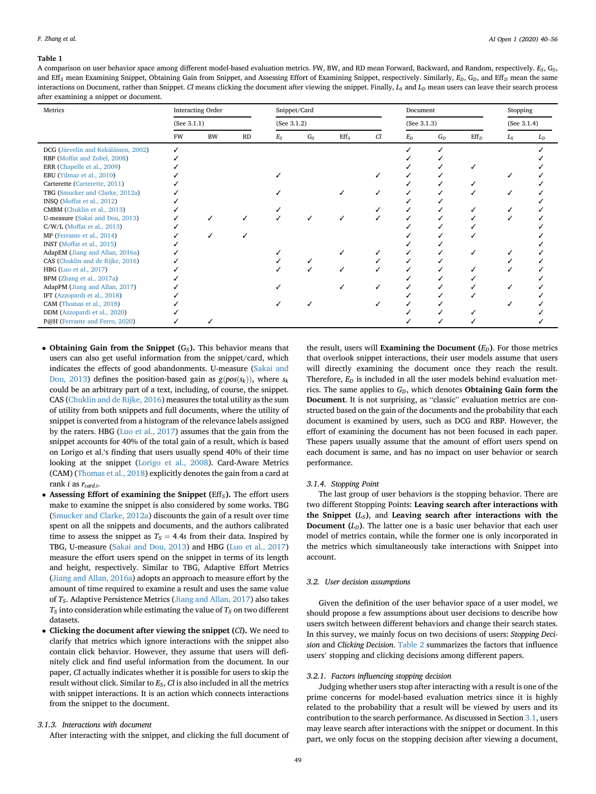#### <span id="page-9-0"></span>Table 1

A comparison on user behavior space among different model-based evaluation metrics. FW, BW, and RD mean Forward, Backward, and Random, respectively.  $E_S$ ,  $G_S$ , and Eff<sub>S</sub> mean Examining Snippet, Obtaining Gain from Snippet, and Assessing Effort of Examining Snippet, respectively. Similarly,  $E_D$ ,  $G_D$ , and Eff<sub>D</sub> mean the same interactions on Document, rather than Snippet. Cl means clicking the document after viewing the snippet. Finally,  $L_S$  and  $L_D$  mean users can leave their search process after examining a snippet or document.

| Metrics                             | Interacting Order |           |    | Snippet/Card |       |         |    | Document    |       |                  | Stopping    |       |
|-------------------------------------|-------------------|-----------|----|--------------|-------|---------|----|-------------|-------|------------------|-------------|-------|
|                                     | (See 3.1.1)       |           |    | (See 3.1.2)  |       |         |    | (See 3.1.3) |       |                  | (See 3.1.4) |       |
|                                     | FW                | <b>BW</b> | RD | $E_S$        | $G_S$ | $Eff_S$ | Cl | $E_D$       | $G_D$ | Eff <sub>D</sub> | $L_S$       | $L_D$ |
| DCG (Järvelin and Kekäläinen, 2002) |                   |           |    |              |       |         |    |             |       |                  |             |       |
| RBP (Moffat and Zobel, 2008)        |                   |           |    |              |       |         |    |             |       |                  |             |       |
| ERR (Chapelle et al., 2009)         |                   |           |    |              |       |         |    |             |       |                  |             |       |
| EBU (Yilmaz et al., 2010)           |                   |           |    |              |       |         |    |             |       |                  |             |       |
| Carterette (Carterette, 2011)       |                   |           |    |              |       |         |    |             |       |                  |             |       |
| TBG (Smucker and Clarke, 2012a)     |                   |           |    |              |       |         |    |             |       |                  |             |       |
| INSQ (Moffat et al., 2012)          |                   |           |    |              |       |         |    |             |       |                  |             |       |
| CMBM (Chuklin et al., 2013)         |                   |           |    |              |       |         |    |             |       |                  |             |       |
| U-measure (Sakai and Dou, 2013)     |                   |           |    |              |       |         |    |             |       |                  |             |       |
| $C/W/L$ (Moffat et al., 2013)       |                   |           |    |              |       |         |    |             |       |                  |             |       |
| MP (Ferrante et al., 2014)          |                   |           |    |              |       |         |    |             |       |                  |             |       |
| INST (Moffat et al., 2015)          |                   |           |    |              |       |         |    |             |       |                  |             |       |
| AdapEM (Jiang and Allan, 2016a)     |                   |           |    |              |       |         |    |             |       |                  |             |       |
| CAS (Chuklin and de Rijke, 2016)    |                   |           |    |              |       |         |    |             |       |                  |             |       |
| HBG (Luo et al., 2017)              |                   |           |    |              |       |         |    |             |       |                  |             |       |
| BPM (Zhang et al., 2017a)           |                   |           |    |              |       |         |    |             |       |                  |             |       |
| AdapPM (Jiang and Allan, 2017)      |                   |           |    |              |       |         |    |             |       |                  |             |       |
| IFT (Azzopardi et al., 2018)        |                   |           |    |              |       |         |    |             |       |                  |             |       |
| CAM (Thomas et al., 2018)           |                   |           |    |              |       |         |    |             |       |                  |             |       |
| DDM (Azzopardi et al., 2020)        |                   |           |    |              |       |         |    |             |       |                  |             |       |
| P@H (Ferrante and Ferro, 2020)      |                   |           |    |              |       |         |    |             |       |                  |             |       |

- Obtaining Gain from the Snippet  $(G_S)$ . This behavior means that users can also get useful information from the snippet/card, which indicates the effects of good abandonments. U-measure ([Sakai and](#page-16-15) [Dou, 2013](#page-16-15)) defines the position-based gain as  $g(pos(s_k))$ , where  $s_k$ could be an arbitrary part of a text, including, of course, the snippet. CAS [\(Chuklin and de Rijke, 2016\)](#page-15-25) measures the total utility as the sum of utility from both snippets and full documents, where the utility of snippet is converted from a histogram of the relevance labels assigned by the raters. HBG ([Luo et al., 2017](#page-15-28)) assumes that the gain from the snippet accounts for 40% of the total gain of a result, which is based on Lorigo et al.'s finding that users usually spend 40% of their time looking at the snippet [\(Lorigo et al., 2008](#page-15-38)). Card-Aware Metrics (CAM) [\(Thomas et al., 2018\)](#page-16-20) explicitly denotes the gain from a card at rank *i* as  $r_{card,i}$ .
- Assessing Effort of examining the Snippet ( $Eff_S$ ). The effort users make to examine the snippet is also considered by some works. TBG [\(Smucker and Clarke, 2012a](#page-16-12)) discounts the gain of a result over time spent on all the snippets and documents, and the authors calibrated time to assess the snippet as  $T_s = 4.4s$  from their data. Inspired by TBG, U-measure [\(Sakai and Dou, 2013](#page-16-15)) and HBG ([Luo et al., 2017\)](#page-15-28) measure the effort users spend on the snippet in terms of its length and height, respectively. Similar to TBG, Adaptive Effort Metrics [\(Jiang and Allan, 2016a](#page-15-24)) adopts an approach to measure effort by the amount of time required to examine a result and uses the same value of  $T_S$ . Adaptive Persistence Metrics ([Jiang and Allan, 2017](#page-15-30)) also takes  $T_S$  into consideration while estimating the value of  $T_S$  on two different datasets.
- Clicking the document after viewing the snippet (Cl). We need to clarify that metrics which ignore interactions with the snippet also contain click behavior. However, they assume that users will definitely click and find useful information from the document. In our paper, Cl actually indicates whether it is possible for users to skip the result without click. Similar to  $E_S$ ,  $Cl$  is also included in all the metrics with snippet interactions. It is an action which connects interactions from the snippet to the document.

# 3.1.3. Interactions with document

After interacting with the snippet, and clicking the full document of

the result, users will Examining the Document  $(E_D)$ . For those metrics that overlook snippet interactions, their user models assume that users will directly examining the document once they reach the result. Therefore,  $E_D$  is included in all the user models behind evaluation metrics. The same applies to  $G_D$ , which denotes **Obtaining Gain form the** Document. It is not surprising, as "classic" evaluation metrics are constructed based on the gain of the documents and the probability that each document is examined by users, such as DCG and RBP. However, the effort of examining the document has not been focused in each paper. These papers usually assume that the amount of effort users spend on each document is same, and has no impact on user behavior or search performance.

# 3.1.4. Stopping Point

The last group of user behaviors is the stopping behavior. There are two different Stopping Points: Leaving search after interactions with the Snippet  $(L<sub>S</sub>)$ , and Leaving search after interactions with the **Document**  $(L_D)$ . The latter one is a basic user behavior that each user model of metrics contain, while the former one is only incorporated in the metrics which simultaneously take interactions with Snippet into account.

#### <span id="page-9-1"></span>3.2. User decision assumptions

Given the definition of the user behavior space of a user model, we should propose a few assumptions about user decisions to describe how users switch between different behaviors and change their search states. In this survey, we mainly focus on two decisions of users: Stopping Decision and Clicking Decision. [Table 2](#page-10-0) summarizes the factors that influence users' stopping and clicking decisions among different papers.

#### <span id="page-9-2"></span>3.2.1. Factors influencing stopping decision

Judging whether users stop after interacting with a result is one of the prime concerns for model-based evaluation metrics since it is highly related to the probability that a result will be viewed by users and its contribution to the search performance. As discussed in Section [3.1](#page-8-4), users may leave search after interactions with the snippet or document. In this part, we only focus on the stopping decision after viewing a document,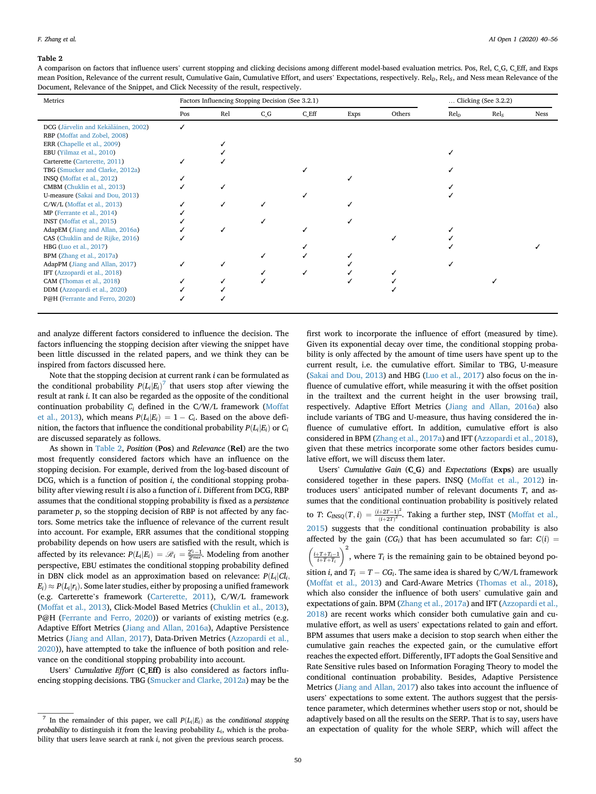#### <span id="page-10-0"></span>Table 2

A comparison on factors that influence users' current stopping and clicking decisions among different model-based evaluation metrics. Pos, Rel, C\_G, C\_Eff, and Exps mean Position, Relevance of the current result, Cumulative Gain, Cumulative Effort, and users' Expectations, respectively. Rel<sub>9</sub>, Rel<sub>5</sub>, and Ness mean Relevance of the Document, Relevance of the Snippet, and Click Necessity of the result, respectively.

| Factors Influencing Stopping Decision (See 3.2.1) |     |       |         |      |        |                  | Clicking (See 3.2.2) |             |  |
|---------------------------------------------------|-----|-------|---------|------|--------|------------------|----------------------|-------------|--|
| Pos                                               | Rel | $C_G$ | $C_Eff$ | Exps | Others | $\mathrm{Rel}_D$ | Rel <sub>S</sub>     | <b>Ness</b> |  |
|                                                   |     |       |         |      |        |                  |                      |             |  |
|                                                   |     |       |         |      |        |                  |                      |             |  |
|                                                   |     |       |         |      |        |                  |                      |             |  |
|                                                   |     |       |         |      |        |                  |                      |             |  |
|                                                   |     |       |         |      |        |                  |                      |             |  |
|                                                   |     |       |         |      |        |                  |                      |             |  |
|                                                   |     |       |         |      |        |                  |                      |             |  |
|                                                   |     |       |         |      |        |                  |                      |             |  |
|                                                   |     |       |         |      |        |                  |                      |             |  |
|                                                   |     |       |         |      |        |                  |                      |             |  |
|                                                   |     |       |         |      |        |                  |                      |             |  |
|                                                   |     |       |         |      |        |                  |                      |             |  |
|                                                   |     |       |         |      |        |                  |                      |             |  |
|                                                   |     |       |         |      |        |                  |                      |             |  |
|                                                   |     |       |         |      |        |                  |                      |             |  |
|                                                   |     |       |         |      |        |                  |                      |             |  |
|                                                   | ✓   |       |         |      |        |                  |                      |             |  |
|                                                   |     |       |         |      |        |                  |                      |             |  |
|                                                   |     |       |         |      |        |                  |                      |             |  |
|                                                   |     |       |         |      |        |                  |                      |             |  |
|                                                   |     |       |         |      |        |                  |                      |             |  |
|                                                   |     |       |         |      |        |                  |                      |             |  |

and analyze different factors considered to influence the decision. The factors influencing the stopping decision after viewing the snippet have been little discussed in the related papers, and we think they can be inspired from factors discussed here.

Note that the stopping decision at current rank i can be formulated as the conditional probability  $P(L_i|E_i)^T$  that users stop after viewing the required to the conditional result at rank i. It can also be regarded as the opposite of the conditional continuation probability  $C_i$  defined in the C/W/L framework ([Moffat](#page-15-9) [et al., 2013](#page-15-9)), which means  $P(L_i|E_i) = 1 - C_i$ . Based on the above definition, the factors that influence the conditional probability  $P(L_i|E_i)$  or  $C_i$ are discussed separately as follows.

As shown in [Table 2,](#page-10-0) Position (Pos) and Relevance (Rel) are the two most frequently considered factors which have an influence on the stopping decision. For example, derived from the log-based discount of DCG, which is a function of position  $i$ , the conditional stopping probability after viewing result *i* is also a function of *i*. Different from DCG, RBP assumes that the conditional stopping probability is fixed as a persistence parameter  $p$ , so the stopping decision of RBP is not affected by any factors. Some metrics take the influence of relevance of the current result into account. For example, ERR assumes that the conditional stopping probability depends on how users are satisfied with the result, which is affected by its relevance:  $P(L_i|E_i) = \mathcal{R}_i = \frac{2^{r_i}-1}{2^{r_{\text{max}}}}$ . Modeling from another perspective, EBU estimates the conditional stopping probability defined in DBN click model as an approximation based on relevance:  $P(L_i|Cl_i)$ ;  $E_i) \approx P(L_i|r_i)$ . Some later studies, either by proposing a unified framework (e.g. Carterette's framework [\(Carterette, 2011\)](#page-15-8), C/W/L framework ([Moffat et al., 2013\)](#page-15-9), Click-Model Based Metrics [\(Chuklin et al., 2013\)](#page-15-21), P@H ([Ferrante and Ferro, 2020\)](#page-15-34)) or variants of existing metrics (e.g. Adaptive Effort Metrics ([Jiang and Allan, 2016a](#page-15-24)), Adaptive Persistence Metrics [\(Jiang and Allan, 2017](#page-15-30)), Data-Driven Metrics [\(Azzopardi et al.,](#page-15-33) [2020\)](#page-15-33)), have attempted to take the influence of both position and relevance on the conditional stopping probability into account.

Users' Cumulative Effort (C Eff) is also considered as factors influencing stopping decisions. TBG [\(Smucker and Clarke, 2012a\)](#page-16-12) may be the first work to incorporate the influence of effort (measured by time). Given its exponential decay over time, the conditional stopping probability is only affected by the amount of time users have spent up to the current result, i.e. the cumulative effort. Similar to TBG, U-measure ([Sakai and Dou, 2013](#page-16-15)) and HBG ([Luo et al., 2017](#page-15-28)) also focus on the influence of cumulative effort, while measuring it with the offset position in the trailtext and the current height in the user browsing trail, respectively. Adaptive Effort Metrics [\(Jiang and Allan, 2016a](#page-15-24)) also include variants of TBG and U-measure, thus having considered the influence of cumulative effort. In addition, cumulative effort is also considered in BPM ([Zhang et al., 2017a\)](#page-16-18) and IFT [\(Azzopardi et al., 2018\)](#page-15-31), given that these metrics incorporate some other factors besides cumulative effort, we will discuss them later.

Users' Cumulative Gain (C\_G) and Expectations (Exps) are usually considered together in these papers. INSQ [\(Moffat et al., 2012](#page-15-6)) introduces users' anticipated number of relevant documents T, and assumes that the conditional continuation probability is positively related to T:  $C_{INSQ}(T, i) = \frac{(i+2T-1)^2}{(i+2T)^2}$  $\frac{a+2i-1}{(i+2T)^2}$ . Taking a further step, INST [\(Moffat et al.,](#page-16-17) [2015\)](#page-16-17) suggests that the conditional continuation probability is also affected by the gain  $(CG_i)$  that has been accumulated so far:  $C(i) = \left(\frac{i+T+T_i-1}{i+T+T_i}\right)^2$ , where  $T_i$  is the remaining gain to be obtained beyond po- $\left(\frac{1}{2}\right)^2$ , where  $T_i$  is the remaining gain to be obtained beyond position *i*, and  $T_i = T - CG_i$ . The same idea is shared by C/W/L framework ([Moffat et al., 2013\)](#page-15-9) and Card-Aware Metrics [\(Thomas et al., 2018\)](#page-16-20), which also consider the influence of both users' cumulative gain and expectations of gain. BPM [\(Zhang et al., 2017a](#page-16-18)) and IFT ([Azzopardi et al.,](#page-15-31) [2018\)](#page-15-31) are recent works which consider both cumulative gain and cumulative effort, as well as users' expectations related to gain and effort. BPM assumes that users make a decision to stop search when either the cumulative gain reaches the expected gain, or the cumulative effort reaches the expected effort. Differently, IFT adopts the Goal Sensitive and Rate Sensitive rules based on Information Foraging Theory to model the conditional continuation probability. Besides, Adaptive Persistence Metrics ([Jiang and Allan, 2017](#page-15-30)) also takes into account the influence of users' expectations to some extent. The authors suggest that the persistence parameter, which determines whether users stop or not, should be adaptively based on all the results on the SERP. That is to say, users have an expectation of quality for the whole SERP, which will affect the

<span id="page-10-1"></span>In the remainder of this paper, we call  $P(L_i|E_i)$  as the conditional stopping probability to distinguish it from the leaving probability  $L_i$ , which is the probability that users leave search at rank *i*, not given the previous search process.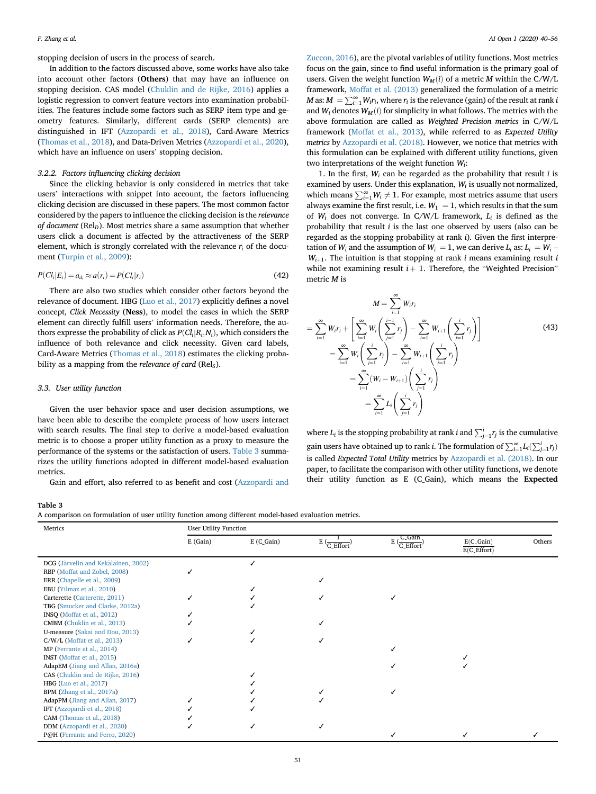stopping decision of users in the process of search.

In addition to the factors discussed above, some works have also take into account other factors (Others) that may have an influence on stopping decision. CAS model ([Chuklin and de Rijke, 2016\)](#page-15-25) applies a logistic regression to convert feature vectors into examination probabilities. The features include some factors such as SERP item type and geometry features. Similarly, different cards (SERP elements) are distinguished in IFT ([Azzopardi et al., 2018](#page-15-31)), Card-Aware Metrics ([Thomas et al., 2018](#page-16-20)), and Data-Driven Metrics ([Azzopardi et al., 2020\)](#page-15-33), which have an influence on users' stopping decision.

#### 3.2.2. Factors influencing clicking decision

Since the clicking behavior is only considered in metrics that take users' interactions with snippet into account, the factors influencing clicking decision are discussed in these papers. The most common factor considered by the papers to influence the clicking decision is the relevance of document ( $\text{Rel}_D$ ). Most metrics share a same assumption that whether users click a document is affected by the attractiveness of the SERP element, which is strongly correlated with the relevance  $r_i$  of the document ([Turpin et al., 2009](#page-16-9)):

$$
P(Cli|Ei) = adi \approx a(ri) = P(Cli|ri)
$$
\n(42)

There are also two studies which consider other factors beyond the relevance of document. HBG [\(Luo et al., 2017\)](#page-15-28) explicitly defines a novel concept, Click Necessity (Ness), to model the cases in which the SERP element can directly fulfill users' information needs. Therefore, the authors expresse the probability of click as  $P(Cl_i|R_i,N_i)$ , which considers the influence of both relevance and click necessity. Given card labels, Card-Aware Metrics ([Thomas et al., 2018](#page-16-20)) estimates the clicking probability as a mapping from the relevance of card (Rel<sub>s</sub>).

# 3.3. User utility function

Given the user behavior space and user decision assumptions, we have been able to describe the complete process of how users interact with search results. The final step to derive a model-based evaluation metric is to choose a proper utility function as a proxy to measure the performance of the systems or the satisfaction of users. [Table 3](#page-11-0) summarizes the utility functions adopted in different model-based evaluation metrics.

Gain and effort, also referred to as benefit and cost ([Azzopardi and](#page-15-39)

#### F. Zhang et al. **AI Open 1 (2020) 40–56** AI Open 1 (2020) 40–56

[Zuccon, 2016\)](#page-15-39), are the pivotal variables of utility functions. Most metrics focus on the gain, since to find useful information is the primary goal of users. Given the weight function  $W_M(i)$  of a metric M within the C/W/L framework, [Moffat et al. \(2013\)](#page-15-9) generalized the formulation of a metric *M* as:  $M = \sum_{i=1}^{\infty} W_i r_i$ , where  $r_i$  is the relevance (gain) of the result at rank is and  $W_i$  denotes  $W_i$  (i) for simplicity in what follows. The metrics with the and  $W_i$  denotes  $W_M(i)$  for simplicity in what follows. The metrics with the above formulation are called as Weighted Precision metrics in C/W/L framework [\(Moffat et al., 2013](#page-15-9)), while referred to as Expected Utility metrics by [Azzopardi et al. \(2018\).](#page-15-31) However, we notice that metrics with this formulation can be explained with different utility functions, given two interpretations of the weight function  $W_i$ :

1. In the first,  $W_i$  can be regarded as the probability that result i is examined by users. Under this explanation,  $W_i$  is usually not normalized, which means  $\sum_{i=1}^{\infty} W_i \neq 1$ . For example, most metrics assume that users<br>always aroming the first result i.e.  $W_i = 1$ , which results in that the sum always examine the first result, i.e.  $W_1 = 1$ , which results in that the sum of  $W_i$  does not converge. In C/W/L framework,  $L_i$  is defined as the probability that result i is the last one observed by users (also can be regarded as the stopping probability at rank i). Given the first interpretation of  $W_i$  and the assumption of  $W_i = 1$ , we can derive  $L_i$  as:  $L_i = W_i$  $W_{i+1}$ . The intuition is that stopping at rank i means examining result i while not examining result  $i + 1$ . Therefore, the "Weighted Precision" metric M is

<span id="page-11-1"></span>

where  $L_i$  is the stopping probability at rank *i* and  $\sum_{j=1}^{i} r_j$  is the cumulative gain users have obtained up to rank *i*. The formulation of  $\sum_{i=1}^{\infty} L_i(\sum_{j=1}^i r_j)$ is called Expected Total Utility metrics by [Azzopardi et al. \(2018\).](#page-15-31) In our paper, to facilitate the comparison with other utility functions, we denote their utility function as E (C\_Gain), which means the Expected

# <span id="page-11-0"></span>Table 3

A comparison on formulation of user utility function among different model-based evaluation metrics.

| Metrics                             | User Utility Function |            |                                     |                                                        |                                        |        |  |  |  |  |  |
|-------------------------------------|-----------------------|------------|-------------------------------------|--------------------------------------------------------|----------------------------------------|--------|--|--|--|--|--|
|                                     | E (Gain)              | E (C_Gain) | $E\left(\frac{1}{C\_Effort}\right)$ | C_Gain<br>$E\left(\frac{C_1-C_2}{C_1 \cdot E} \right)$ | $E(C_Gain)$<br>$E(C_{\text{-}}Effort)$ | Others |  |  |  |  |  |
| DCG (Järvelin and Kekäläinen, 2002) |                       |            |                                     |                                                        |                                        |        |  |  |  |  |  |
| RBP (Moffat and Zobel, 2008)        |                       |            |                                     |                                                        |                                        |        |  |  |  |  |  |
| ERR (Chapelle et al., 2009)         |                       |            |                                     |                                                        |                                        |        |  |  |  |  |  |
| EBU (Yilmaz et al., 2010)           |                       |            |                                     |                                                        |                                        |        |  |  |  |  |  |
| Carterette (Carterette, 2011)       |                       |            |                                     |                                                        |                                        |        |  |  |  |  |  |
| TBG (Smucker and Clarke, 2012a)     |                       |            |                                     |                                                        |                                        |        |  |  |  |  |  |
| INSQ (Moffat et al., 2012)          |                       |            |                                     |                                                        |                                        |        |  |  |  |  |  |
| CMBM (Chuklin et al., 2013)         |                       |            |                                     |                                                        |                                        |        |  |  |  |  |  |
| U-measure (Sakai and Dou, 2013)     |                       |            |                                     |                                                        |                                        |        |  |  |  |  |  |
| $C/W/L$ (Moffat et al., 2013)       |                       |            |                                     |                                                        |                                        |        |  |  |  |  |  |
| MP (Ferrante et al., 2014)          |                       |            |                                     |                                                        |                                        |        |  |  |  |  |  |
| INST (Moffat et al., 2015)          |                       |            |                                     |                                                        |                                        |        |  |  |  |  |  |
| AdapEM (Jiang and Allan, 2016a)     |                       |            |                                     |                                                        |                                        |        |  |  |  |  |  |
| CAS (Chuklin and de Rijke, 2016)    |                       |            |                                     |                                                        |                                        |        |  |  |  |  |  |
| HBG (Luo et al., 2017)              |                       |            |                                     |                                                        |                                        |        |  |  |  |  |  |
| BPM (Zhang et al., 2017a)           |                       |            |                                     |                                                        |                                        |        |  |  |  |  |  |
| AdapPM (Jiang and Allan, 2017)      |                       |            |                                     |                                                        |                                        |        |  |  |  |  |  |
| IFT (Azzopardi et al., 2018)        |                       |            |                                     |                                                        |                                        |        |  |  |  |  |  |
| CAM (Thomas et al., 2018)           |                       |            |                                     |                                                        |                                        |        |  |  |  |  |  |
| DDM (Azzopardi et al., 2020)        |                       |            |                                     |                                                        |                                        |        |  |  |  |  |  |
| P@H (Ferrante and Ferro, 2020)      |                       |            |                                     |                                                        |                                        |        |  |  |  |  |  |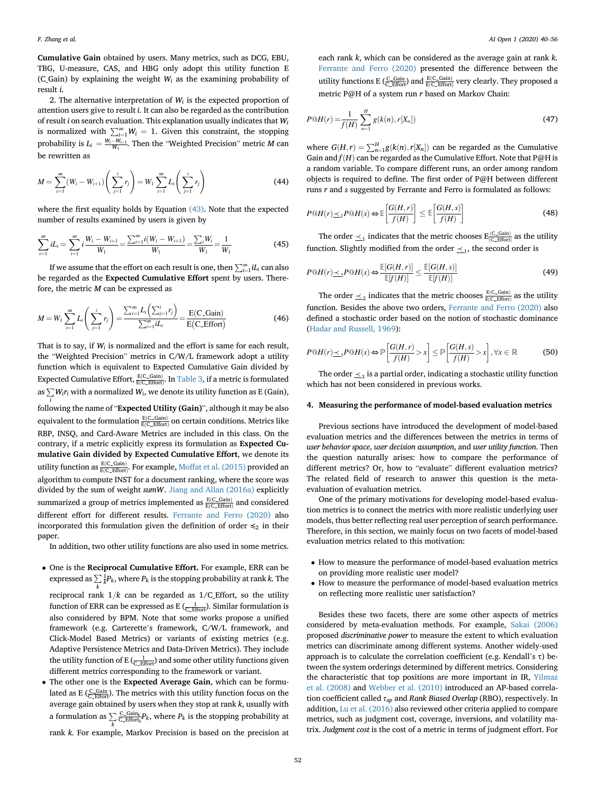Cumulative Gain obtained by users. Many metrics, such as DCG, EBU, TBG, U-measure, CAS, and HBG only adopt this utility function E (C\_Gain) by explaining the weight  $W_i$  as the examining probability of result i.

2. The alternative interpretation of  $W_i$  is the expected proportion of attention users give to result i. It can also be regarded as the contribution of result i on search evaluation. This explanation usually indicates that  $W_i$ is normalized with  $\sum_{i=1}^{\infty} W_i = 1$ . Given this constraint, the stopping probability is  $L_i = \frac{W_i - W_{i+1}}{W_1}$ . Then the "Weighted Precision" metric *M* can be rewritten as

$$
M = \sum_{i=1}^{\infty} (W_i - W_{i+1}) \left( \sum_{j=1}^{i} r_j \right) = W_1 \sum_{i=1}^{\infty} L_i \left( \sum_{j=1}^{i} r_j \right)
$$
(44)

where the first equality holds by Equation [\(43\).](#page-11-1) Note that the expected number of results examined by users is given by

$$
\sum_{i=1}^{\infty} iL_i = \sum_{i=1}^{\infty} i \frac{W_i - W_{i+1}}{W_1} = \frac{\sum_{i=1}^{\infty} i(W_i - W_{i+1})}{W_1} = \frac{\sum_i W_i}{W_1} = \frac{1}{W_1}
$$
(45)

If we assume that the effort on each result is one, then  $\sum_{i=1}^{\infty} u_i$  can also be regarded as the Expected Cumulative Effort spent by users. Therefore, the metric M can be expressed as

$$
M = W_1 \sum_{i=1}^{\infty} L_i \left( \sum_{j=1}^{i} r_j \right) = \frac{\sum_{i=1}^{\infty} L_i \left( \sum_{j=1}^{i} r_j \right)}{\sum_{i=1}^{\infty} i L_i} = \frac{E(C \text{-Gain})}{E(C \text{-Effort})}
$$
(46)

That is to say, if  $W_i$  is normalized and the effort is same for each result, the "Weighted Precision" metrics in C/W/L framework adopt a utility function which is equivalent to Expected Cumulative Gain divided by Expected Cumulative Effort,  $\frac{E(C\_Gain)}{E(C\_Error)}$ . In [Table 3,](#page-11-0) if a metric is formulated as  $\sum\limits_i W_i r_i$  with a normalized  $W_i$ , we denote its utility function as E (Gain), following the name of "Expected Utility (Gain)", although it may be also equivalent to the formulation  $\frac{E(C-Gain)}{E(C-Effort)}$  on certain conditions. Metrics like RBP, INSQ, and Card-Aware Metrics are included in this class. On the contrary, if a metric explicitly express its formulation as Expected Cumulative Gain divided by Expected Cumulative Effort, we denote its utility function as  $\frac{E(C\_Gain)}{E(C\_Error)}$ . For example, [Moffat et al. \(2015\)](#page-16-17) provided an algorithm to compute INST for a document ranking, where the score was divided by the sum of weight sumW. [Jiang and Allan \(2016a\)](#page-15-24) explicitly summarized a group of metrics implemented as  $\frac{E(C\_Gain)}{E(C\_Error)}$  and considered different effort for different results. [Ferrante and Ferro \(2020\)](#page-15-34) also incorporated this formulation given the definition of order  $\leq_2$  in their paper.

In addition, two other utility functions are also used in some metrics.

 One is the Reciprocal Cumulative Effort. For example, ERR can be expressed as  $\sum \frac{1}{k}P_k$ , where  $P_k$  is the stopping probability at rank k. The

k

reciprocal rank  $1/k$  can be regarded as  $1/C$ \_Effort, so the utility function of ERR can be expressed as E  $(\frac{1}{C_{\text{effort}}})$ . Similar formulation is also considered by BPM. Note that some works propose a unified framework (e.g. Carterette's framework, C/W/L framework, and Click-Model Based Metrics) or variants of existing metrics (e.g. Adaptive Persistence Metrics and Data-Driven Metrics). They include the utility function of E ( $\frac{1}{C_{\text{effort}}}$ ) and some other utility functions given different metrics corresponding to the framework or variant.

• The other one is the Expected Average Gain, which can be formulated as E ( $\frac{C_{\text{1}}\text{C}_{\text{2}}\text{Effort}}{C_{\text{2}}\text{Effort}}}$ ). The metrics with this utility function focus on the average gain obtained by users when they stop at rank  $k$ , usually with a formulation as  $\sum_{k=1}^{\infty}$  $\frac{\text{C\_Gain}_k}{\text{C\_Effort}_k}$  *P<sub>k</sub>*, where *P<sub>k</sub>* is the stopping probability at rank k. For example, Markov Precision is based on the precision at

each rank k, which can be considered as the average gain at rank k. [Ferrante and Ferro \(2020\)](#page-15-34) presented the difference between the utility functions E ( $\frac{C_{\text{C\_Gain}}}{C_{\text{Effort}}}$ ) and  $\frac{E(C_{\text{Gain}})}{E(C_{\text{Effort}})}$  very clearly. They proposed a metric P@H of a system run r based on Markov Chain:

$$
P@H(r) = \frac{1}{f(H)} \sum_{n=1}^{H} g(k(n), r[X_n])
$$
\n(47)

where  $G(H, r) = \sum_{n=1}^{H} g(k(n), r[X_n])$  can be regarded as the Cumulative<br>Cain and  $f(H)$  can be regarded as the Cumulative Effect. Note that  $D@H$  is Gain and  $f(H)$  can be regarded as the Cumulative Effort. Note that P@H is a random variable. To compare different runs, an order among random objects is required to define. The first order of P@H between different runs r and s suggested by Ferrante and Ferro is formulated as follows:

$$
P@H(r) \leq_{1} P@H(s) \Leftrightarrow \mathbb{E}\left[\frac{G(H,r)}{f(H)}\right] \leq \mathbb{E}\left[\frac{G(H,s)}{f(H)}\right]
$$
\n(48)

The order  $\leq_1$  indicates that the metric chooses  $E_{(C_{\text{effort}}}^{(C_{\text{CGain}})}$  as the utility function. Slightly modified from the order  $\prec_1$ , the second order is

$$
P@H(r) \leq_{2} P@H(s) \Leftrightarrow \frac{\mathbb{E}[G(H,r)]}{\mathbb{E}[f(H)]} \leq \frac{\mathbb{E}[G(H,s)]}{\mathbb{E}[f(H)]}
$$
\n(49)

The order  $\leq_2$  indicates that the metric chooses  $\frac{E(C\_Gain)}{E(C\_Before)}$  as the utility function. Besides the above two orders, [Ferrante and Ferro \(2020\)](#page-15-34) also defined a stochastic order based on the notion of stochastic dominance ([Hadar and Russell, 1969](#page-15-40)):

$$
P@H(r) \leq_{3} P@H(s) \Leftrightarrow \mathbb{P}\left[\frac{G(H,r)}{f(H)} > x\right] \leq \mathbb{P}\left[\frac{G(H,s)}{f(H)} > x\right], \forall x \in \mathbb{R}
$$
 (50)

The order  $\leq_3$  is a partial order, indicating a stochastic utility function which has not been considered in previous works.

# <span id="page-12-0"></span>4. Measuring the performance of model-based evaluation metrics

Previous sections have introduced the development of model-based evaluation metrics and the differences between the metrics in terms of user behavior space, user decision assumption, and user utility function. Then the question naturally arises: how to compare the performance of different metrics? Or, how to "evaluate" different evaluation metrics? The related field of research to answer this question is the metaevaluation of evaluation metrics.

One of the primary motivations for developing model-based evaluation metrics is to connect the metrics with more realistic underlying user models, thus better reflecting real user perception of search performance. Therefore, in this section, we mainly focus on two facets of model-based evaluation metrics related to this motivation:

- How to measure the performance of model-based evaluation metrics on providing more realistic user model?
- How to measure the performance of model-based evaluation metrics on reflecting more realistic user satisfaction?

Besides these two facets, there are some other aspects of metrics considered by meta-evaluation methods. For example, [Sakai \(2006\)](#page-16-22) proposed discriminative power to measure the extent to which evaluation metrics can discriminate among different systems. Another widely-used approach is to calculate the correlation coefficient (e.g. Kendall's τ) between the system orderings determined by different metrics. Considering the characteristic that top positions are more important in IR, [Yilmaz](#page-16-23) [et al. \(2008\)](#page-16-23) and [Webber et al. \(2010\)](#page-16-24) introduced an AP-based correlation coefficient called  $\tau_{ap}$  and Rank Biased Overlap (RBO), respectively. In addition, [Lu et al. \(2016\)](#page-15-41) also reviewed other criteria applied to compare metrics, such as judgment cost, coverage, inversions, and volatility matrix. Judgment cost is the cost of a metric in terms of judgment effort. For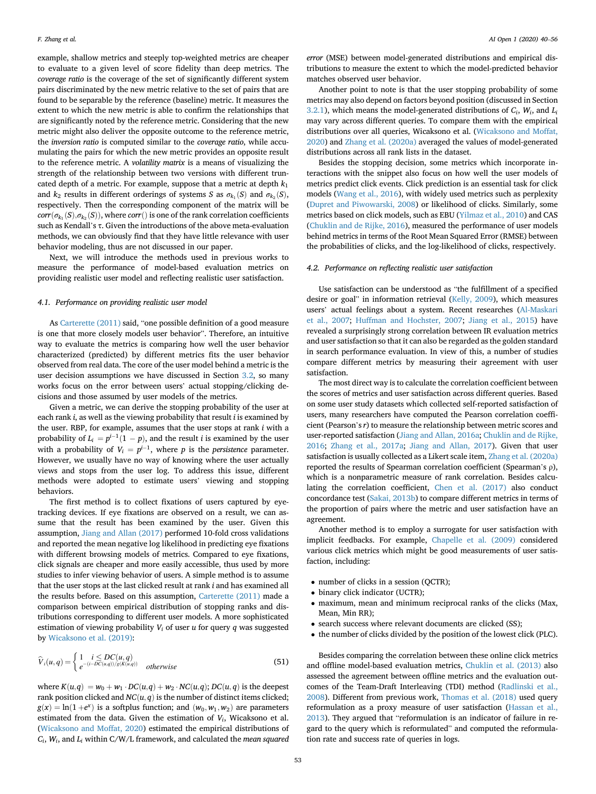example, shallow metrics and steeply top-weighted metrics are cheaper to evaluate to a given level of score fidelity than deep metrics. The coverage ratio is the coverage of the set of significantly different system pairs discriminated by the new metric relative to the set of pairs that are found to be separable by the reference (baseline) metric. It measures the extent to which the new metric is able to confirm the relationships that are significantly noted by the reference metric. Considering that the new metric might also deliver the opposite outcome to the reference metric, the inversion ratio is computed similar to the coverage ratio, while accumulating the pairs for which the new metric provides an opposite result to the reference metric. A volatility matrix is a means of visualizing the strength of the relationship between two versions with different truncated depth of a metric. For example, suppose that a metric at depth  $k_1$ and  $k_2$  results in different orderings of systems S as  $\sigma_{k_1}(S)$  and  $\sigma_{k_2}(S)$ , respectively. Then the corresponding component of the matrix will be  $corr(\sigma_{k_1}(S), \sigma_{k_2}(S))$ , where corr() is one of the rank correlation coefficients such as Kendall's τ. Given the introductions of the above meta-evaluation methods, we can obviously find that they have little relevance with user behavior modeling, thus are not discussed in our paper.

Next, we will introduce the methods used in previous works to measure the performance of model-based evaluation metrics on providing realistic user model and reflecting realistic user satisfaction.

# 4.1. Performance on providing realistic user model

As [Carterette \(2011\)](#page-15-8) said, "one possible definition of a good measure is one that more closely models user behavior". Therefore, an intuitive way to evaluate the metrics is comparing how well the user behavior characterized (predicted) by different metrics fits the user behavior observed from real data. The core of the user model behind a metric is the user decision assumptions we have discussed in Section [3.2](#page-9-1), so many works focus on the error between users' actual stopping/clicking decisions and those assumed by user models of the metrics.

Given a metric, we can derive the stopping probability of the user at each rank  $i$ , as well as the viewing probability that result  $i$  is examined by the user. RBP, for example, assumes that the user stops at rank i with a probability of  $L_i = p^{i-1}(1 - p)$ , and the result *i* is examined by the user with a probability of  $V_i = p^{i-1}$ , where p is the persistence parameter. However, we usually have no way of knowing where the user actually views and stops from the user log. To address this issue, different methods were adopted to estimate users' viewing and stopping behaviors.

The first method is to collect fixations of users captured by eyetracking devices. If eye fixations are observed on a result, we can assume that the result has been examined by the user. Given this assumption, [Jiang and Allan \(2017\)](#page-15-30) performed 10-fold cross validations and reported the mean negative log likelihood in predicting eye fixations with different browsing models of metrics. Compared to eye fixations, click signals are cheaper and more easily accessible, thus used by more studies to infer viewing behavior of users. A simple method is to assume that the user stops at the last clicked result at rank i and has examined all the results before. Based on this assumption, [Carterette \(2011\)](#page-15-8) made a comparison between empirical distribution of stopping ranks and distributions corresponding to different user models. A more sophisticated estimation of viewing probability  $V_i$  of user  $u$  for query  $q$  was suggested by [Wicaksono et al. \(2019\)](#page-16-25):

$$
\widehat{V}_i(u,q) = \begin{cases} 1 & i \le DC(u,q) \\ e^{-(i-DC(u,q))/g(K(u,q))} & otherwise \end{cases}
$$
\n(51)

where  $K(u,q) = w_0 + w_1 \cdot DC(u,q) + w_2 \cdot NC(u,q)$ ;  $DC(u,q)$  is the deepest rank position clicked and  $NC(u, q)$  is the number of distinct items clicked;  $g(x) = \ln(1 + e^x)$  is a softplus function; and  $(w_0, w_1, w_2)$  are parameters estimated from the data. Given the estimation of  $V_i$ , Wicaksono et al. ([Wicaksono and Moffat, 2020\)](#page-16-26) estimated the empirical distributions of  $C_i$ ,  $W_i$ , and  $L_i$  within C/W/L framework, and calculated the mean squared error (MSE) between model-generated distributions and empirical distributions to measure the extent to which the model-predicted behavior matches observed user behavior.

Another point to note is that the user stopping probability of some metrics may also depend on factors beyond position (discussed in Section [3.2.1](#page-9-2)), which means the model-generated distributions of  $C_i$ ,  $W_i$ , and  $L_i$ may vary across different queries. To compare them with the empirical distributions over all queries, Wicaksono et al. [\(Wicaksono and Moffat,](#page-16-26) [2020\)](#page-16-26) and [Zhang et al. \(2020a\)](#page-16-27) averaged the values of model-generated distributions across all rank lists in the dataset.

Besides the stopping decision, some metrics which incorporate interactions with the snippet also focus on how well the user models of metrics predict click events. Click prediction is an essential task for click models ([Wang et al., 2016](#page-16-28)), with widely used metrics such as perplexity ([Dupret and Piwowarski, 2008](#page-15-19)) or likelihood of clicks. Similarly, some metrics based on click models, such as EBU [\(Yilmaz et al., 2010\)](#page-16-8) and CAS ([Chuklin and de Rijke, 2016\)](#page-15-25), measured the performance of user models behind metrics in terms of the Root Mean Squared Error (RMSE) between the probabilities of clicks, and the log-likelihood of clicks, respectively.

# 4.2. Performance on reflecting realistic user satisfaction

Use satisfaction can be understood as "the fulfillment of a specified desire or goal" in information retrieval ([Kelly, 2009\)](#page-15-42), which measures users' actual feelings about a system. Recent researches ([Al-Maskari](#page-15-43) [et al., 2007;](#page-15-43) [Huffman and Hochster, 2007](#page-15-44); [Jiang et al., 2015](#page-15-45)) have revealed a surprisingly strong correlation between IR evaluation metrics and user satisfaction so that it can also be regarded as the golden standard in search performance evaluation. In view of this, a number of studies compare different metrics by measuring their agreement with user satisfaction.

The most direct way is to calculate the correlation coefficient between the scores of metrics and user satisfaction across different queries. Based on some user study datasets which collected self-reported satisfaction of users, many researchers have computed the Pearson correlation coefficient (Pearson's r) to measure the relationship between metric scores and user-reported satisfaction [\(Jiang and Allan, 2016a](#page-15-24); [Chuklin and de Rijke,](#page-15-25) [2016;](#page-15-25) [Zhang et al., 2017a](#page-16-18); [Jiang and Allan, 2017\)](#page-15-30). Given that user satisfaction is usually collected as a Likert scale item, [Zhang et al. \(2020a\)](#page-16-27) reported the results of Spearman correlation coefficient (Spearman's ρ), which is a nonparametric measure of rank correlation. Besides calculating the correlation coefficient, [Chen et al. \(2017\)](#page-15-46) also conduct concordance test ([Sakai, 2013b\)](#page-16-29) to compare different metrics in terms of the proportion of pairs where the metric and user satisfaction have an agreement.

Another method is to employ a surrogate for user satisfaction with implicit feedbacks. For example, [Chapelle et al. \(2009\)](#page-15-14) considered various click metrics which might be good measurements of user satisfaction, including:

- number of clicks in a session (QCTR);
- binary click indicator (UCTR);
- maximum, mean and minimum reciprocal ranks of the clicks (Max, Mean, Min RR);
- search success where relevant documents are clicked (SS);
- the number of clicks divided by the position of the lowest click (PLC).

Besides comparing the correlation between these online click metrics and offline model-based evaluation metrics, [Chuklin et al. \(2013\)](#page-15-21) also assessed the agreement between offline metrics and the evaluation outcomes of the Team-Draft Interleaving (TDI) method ([Radlinski et al.,](#page-16-30) [2008\)](#page-16-30). Different from previous work, [Thomas et al. \(2018\)](#page-16-20) used query reformulation as a proxy measure of user satisfaction [\(Hassan et al.,](#page-15-47) [2013\)](#page-15-47). They argued that "reformulation is an indicator of failure in regard to the query which is reformulated" and computed the reformulation rate and success rate of queries in logs.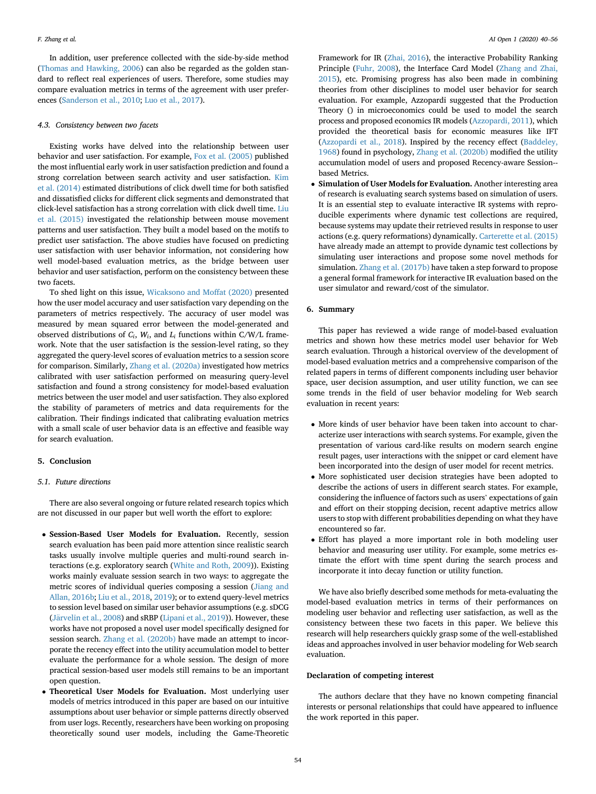In addition, user preference collected with the side-by-side method ([Thomas and Hawking, 2006](#page-16-31)) can also be regarded as the golden standard to reflect real experiences of users. Therefore, some studies may compare evaluation metrics in terms of the agreement with user preferences [\(Sanderson et al., 2010](#page-16-32); [Luo et al., 2017\)](#page-15-28).

#### 4.3. Consistency between two facets

Existing works have delved into the relationship between user behavior and user satisfaction. For example, [Fox et al. \(2005\)](#page-15-48) published the most influential early work in user satisfaction prediction and found a strong correlation between search activity and user satisfaction. [Kim](#page-15-49) [et al. \(2014\)](#page-15-49) estimated distributions of click dwell time for both satisfied and dissatisfied clicks for different click segments and demonstrated that click-level satisfaction has a strong correlation with click dwell time. [Liu](#page-15-50) [et al. \(2015\)](#page-15-50) investigated the relationship between mouse movement patterns and user satisfaction. They built a model based on the motifs to predict user satisfaction. The above studies have focused on predicting user satisfaction with user behavior information, not considering how well model-based evaluation metrics, as the bridge between user behavior and user satisfaction, perform on the consistency between these two facets.

To shed light on this issue, [Wicaksono and Moffat \(2020\)](#page-16-26) presented how the user model accuracy and user satisfaction vary depending on the parameters of metrics respectively. The accuracy of user model was measured by mean squared error between the model-generated and observed distributions of  $C_i$ ,  $W_i$ , and  $L_i$  functions within C/W/L framework. Note that the user satisfaction is the session-level rating, so they aggregated the query-level scores of evaluation metrics to a session score for comparison. Similarly, [Zhang et al. \(2020a\)](#page-16-27) investigated how metrics calibrated with user satisfaction performed on measuring query-level satisfaction and found a strong consistency for model-based evaluation metrics between the user model and user satisfaction. They also explored the stability of parameters of metrics and data requirements for the calibration. Their findings indicated that calibrating evaluation metrics with a small scale of user behavior data is an effective and feasible way for search evaluation.

# <span id="page-14-0"></span>5. Conclusion

# 5.1. Future directions

There are also several ongoing or future related research topics which are not discussed in our paper but well worth the effort to explore:

- Session-Based User Models for Evaluation. Recently, session search evaluation has been paid more attention since realistic search tasks usually involve multiple queries and multi-round search interactions (e.g. exploratory search [\(White and Roth, 2009\)](#page-16-33)). Existing works mainly evaluate session search in two ways: to aggregate the metric scores of individual queries composing a session ([Jiang and](#page-15-51) [Allan, 2016b](#page-15-51); [Liu et al., 2018](#page-15-52), [2019\)](#page-15-53); or to extend query-level metrics to session level based on similar user behavior assumptions (e.g. sDCG [\(J](#page-15-54)ärvelin et al., 2008) and sRBP [\(Lipani et al., 2019](#page-15-55))). However, these works have not proposed a novel user model specifically designed for session search. [Zhang et al. \(2020b\)](#page-16-34) have made an attempt to incorporate the recency effect into the utility accumulation model to better evaluate the performance for a whole session. The design of more practical session-based user models still remains to be an important open question.
- Theoretical User Models for Evaluation. Most underlying user models of metrics introduced in this paper are based on our intuitive assumptions about user behavior or simple patterns directly observed from user logs. Recently, researchers have been working on proposing theoretically sound user models, including the Game-Theoretic

Framework for IR [\(Zhai, 2016\)](#page-16-35), the interactive Probability Ranking Principle ([Fuhr, 2008](#page-15-29)), the Interface Card Model [\(Zhang and Zhai,](#page-16-36) [2015](#page-16-36)), etc. Promising progress has also been made in combining theories from other disciplines to model user behavior for search evaluation. For example, Azzopardi suggested that the Production Theory () in microeconomics could be used to model the search process and proposed economics IR models [\(Azzopardi, 2011](#page-15-56)), which provided the theoretical basis for economic measures like IFT ([Azzopardi et al., 2018\)](#page-15-31). Inspired by the recency effect ([Baddeley,](#page-15-57) [1968](#page-15-57)) found in psychology, [Zhang et al. \(2020b\)](#page-16-34) modified the utility accumulation model of users and proposed Recency-aware Session- based Metrics.

• Simulation of User Models for Evaluation. Another interesting area of research is evaluating search systems based on simulation of users. It is an essential step to evaluate interactive IR systems with reproducible experiments where dynamic test collections are required, because systems may update their retrieved results in response to user actions (e.g. query reformations) dynamically. [Carterette et al. \(2015\)](#page-15-58) have already made an attempt to provide dynamic test collections by simulating user interactions and propose some novel methods for simulation. [Zhang et al. \(2017b\)](#page-16-37) have taken a step forward to propose a general formal framework for interactive IR evaluation based on the user simulator and reward/cost of the simulator.

# 6. Summary

This paper has reviewed a wide range of model-based evaluation metrics and shown how these metrics model user behavior for Web search evaluation. Through a historical overview of the development of model-based evaluation metrics and a comprehensive comparison of the related papers in terms of different components including user behavior space, user decision assumption, and user utility function, we can see some trends in the field of user behavior modeling for Web search evaluation in recent years:

- More kinds of user behavior have been taken into account to characterize user interactions with search systems. For example, given the presentation of various card-like results on modern search engine result pages, user interactions with the snippet or card element have been incorporated into the design of user model for recent metrics.
- More sophisticated user decision strategies have been adopted to describe the actions of users in different search states. For example, considering the influence of factors such as users' expectations of gain and effort on their stopping decision, recent adaptive metrics allow users to stop with different probabilities depending on what they have encountered so far.
- Effort has played a more important role in both modeling user behavior and measuring user utility. For example, some metrics estimate the effort with time spent during the search process and incorporate it into decay function or utility function.

We have also briefly described some methods for meta-evaluating the model-based evaluation metrics in terms of their performances on modeling user behavior and reflecting user satisfaction, as well as the consistency between these two facets in this paper. We believe this research will help researchers quickly grasp some of the well-established ideas and approaches involved in user behavior modeling for Web search evaluation.

# Declaration of competing interest

The authors declare that they have no known competing financial interests or personal relationships that could have appeared to influence the work reported in this paper.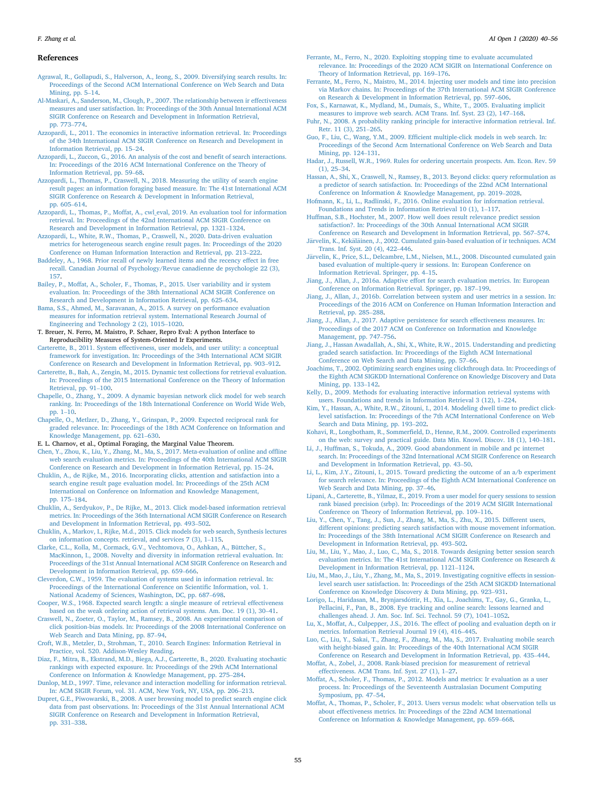# References

- <span id="page-15-13"></span>[Agrawal, R., Gollapudi, S., Halverson, A., Ieong, S., 2009. Diversifying search results. In:](http://refhub.elsevier.com/S2666-6510(21)00004-8/sref1) [Proceedings of the Second ACM International Conference on Web Search and Data](http://refhub.elsevier.com/S2666-6510(21)00004-8/sref1) [Mining, pp. 5](http://refhub.elsevier.com/S2666-6510(21)00004-8/sref1)–[14](http://refhub.elsevier.com/S2666-6510(21)00004-8/sref1).
- <span id="page-15-43"></span>[Al-Maskari, A., Sanderson, M., Clough, P., 2007. The relationship between ir effectiveness](http://refhub.elsevier.com/S2666-6510(21)00004-8/sref2) [measures and user satisfaction. In: Proceedings of the 30th Annual International ACM](http://refhub.elsevier.com/S2666-6510(21)00004-8/sref2) [SIGIR Conference on Research and Development in Information Retrieval,](http://refhub.elsevier.com/S2666-6510(21)00004-8/sref2) [pp. 773](http://refhub.elsevier.com/S2666-6510(21)00004-8/sref2)–[774](http://refhub.elsevier.com/S2666-6510(21)00004-8/sref2).
- <span id="page-15-56"></span>[Azzopardi, L., 2011. The economics in interactive information retrieval. In: Proceedings](http://refhub.elsevier.com/S2666-6510(21)00004-8/sref3) [of the 34th International ACM SIGIR Conference on Research and Development in](http://refhub.elsevier.com/S2666-6510(21)00004-8/sref3) [Information Retrieval, pp. 15](http://refhub.elsevier.com/S2666-6510(21)00004-8/sref3)–[24.](http://refhub.elsevier.com/S2666-6510(21)00004-8/sref3)
- <span id="page-15-39"></span>[Azzopardi, L., Zuccon, G., 2016. An analysis of the cost and bene](http://refhub.elsevier.com/S2666-6510(21)00004-8/sref4)fit of search interactions. [In: Proceedings of the 2016 ACM International Conference on the Theory of](http://refhub.elsevier.com/S2666-6510(21)00004-8/sref4) [Information Retrieval, pp. 59](http://refhub.elsevier.com/S2666-6510(21)00004-8/sref4)–[68.](http://refhub.elsevier.com/S2666-6510(21)00004-8/sref4)
- <span id="page-15-31"></span>[Azzopardi, L., Thomas, P., Craswell, N., 2018. Measuring the utility of search engine](http://refhub.elsevier.com/S2666-6510(21)00004-8/sref5) [result pages: an information foraging based measure. In: The 41st International ACM](http://refhub.elsevier.com/S2666-6510(21)00004-8/sref5) [SIGIR Conference on Research](http://refhub.elsevier.com/S2666-6510(21)00004-8/sref5) & [Development in Information Retrieval,](http://refhub.elsevier.com/S2666-6510(21)00004-8/sref5) [pp. 605](http://refhub.elsevier.com/S2666-6510(21)00004-8/sref5)–[614](http://refhub.elsevier.com/S2666-6510(21)00004-8/sref5).
- <span id="page-15-35"></span>[Azzopardi, L., Thomas, P., Moffat, A., cwl\\_eval, 2019. An evaluation tool for information](http://refhub.elsevier.com/S2666-6510(21)00004-8/sref6) [retrieval. In: Proceedings of the 42nd International ACM SIGIR Conference on](http://refhub.elsevier.com/S2666-6510(21)00004-8/sref6) [Research and Development in Information Retrieval, pp. 1321](http://refhub.elsevier.com/S2666-6510(21)00004-8/sref6)–[1324](http://refhub.elsevier.com/S2666-6510(21)00004-8/sref6).
- <span id="page-15-33"></span>[Azzopardi, L., White, R.W., Thomas, P., Craswell, N., 2020. Data-driven evaluation](http://refhub.elsevier.com/S2666-6510(21)00004-8/sref7) [metrics for heterogeneous search engine result pages. In: Proceedings of the 2020](http://refhub.elsevier.com/S2666-6510(21)00004-8/sref7) [Conference on Human Information Interaction and Retrieval, pp. 213](http://refhub.elsevier.com/S2666-6510(21)00004-8/sref7)–[222](http://refhub.elsevier.com/S2666-6510(21)00004-8/sref7).
- <span id="page-15-57"></span>[Baddeley, A., 1968. Prior recall of newly learned items and the recency effect in free](http://refhub.elsevier.com/S2666-6510(21)00004-8/sref8) [recall. Canadian Journal of Psychology/Revue canadienne de psychologie 22 \(3\),](http://refhub.elsevier.com/S2666-6510(21)00004-8/sref8) [157](http://refhub.elsevier.com/S2666-6510(21)00004-8/sref8).
- <span id="page-15-23"></span>[Bailey, P., Moffat, A., Scholer, F., Thomas, P., 2015. User variability and ir system](http://refhub.elsevier.com/S2666-6510(21)00004-8/sref9) [evaluation. In: Proceedings of the 38th International ACM SIGIR Conference on](http://refhub.elsevier.com/S2666-6510(21)00004-8/sref9) [Research and Development in Information Retrieval, pp. 625](http://refhub.elsevier.com/S2666-6510(21)00004-8/sref9)–[634](http://refhub.elsevier.com/S2666-6510(21)00004-8/sref9).
- <span id="page-15-7"></span>[Bama, S.S., Ahmed, M., Saravanan, A., 2015. A survey on performance evaluation](http://refhub.elsevier.com/S2666-6510(21)00004-8/sref10) [measures for information retrieval system. International Research Journal of](http://refhub.elsevier.com/S2666-6510(21)00004-8/sref10) [Engineering and Technology 2 \(2\), 1015](http://refhub.elsevier.com/S2666-6510(21)00004-8/sref10)–[1020](http://refhub.elsevier.com/S2666-6510(21)00004-8/sref10).
- <span id="page-15-36"></span>T. Breuer, N. Ferro, M. Maistro, P. Schaer, Repro Eval: A python Interface to Reproducibility Measures of System-Oriented Ir Experiments.
- <span id="page-15-8"></span>[Carterette, B., 2011. System effectiveness, user models, and user utility: a conceptual](http://refhub.elsevier.com/S2666-6510(21)00004-8/sref12) [framework for investigation. In: Proceedings of the 34th International ACM SIGIR](http://refhub.elsevier.com/S2666-6510(21)00004-8/sref12) [Conference on Research and Development in Information Retrieval, pp. 903](http://refhub.elsevier.com/S2666-6510(21)00004-8/sref12)–[912.](http://refhub.elsevier.com/S2666-6510(21)00004-8/sref12)
- <span id="page-15-58"></span>[Carterette, B., Bah, A., Zengin, M., 2015. Dynamic test collections for retrieval evaluation.](http://refhub.elsevier.com/S2666-6510(21)00004-8/sref13) [In: Proceedings of the 2015 International Conference on the Theory of Information](http://refhub.elsevier.com/S2666-6510(21)00004-8/sref13) [Retrieval, pp. 91](http://refhub.elsevier.com/S2666-6510(21)00004-8/sref13)–[100.](http://refhub.elsevier.com/S2666-6510(21)00004-8/sref13)
- <span id="page-15-16"></span>[Chapelle, O., Zhang, Y., 2009. A dynamic bayesian network click model for web search](http://refhub.elsevier.com/S2666-6510(21)00004-8/sref14) [ranking. In: Proceedings of the 18th International Conference on World Wide Web,](http://refhub.elsevier.com/S2666-6510(21)00004-8/sref14) [pp. 1](http://refhub.elsevier.com/S2666-6510(21)00004-8/sref14)–[10](http://refhub.elsevier.com/S2666-6510(21)00004-8/sref14).
- <span id="page-15-14"></span>[Chapelle, O., Metlzer, D., Zhang, Y., Grinspan, P., 2009. Expected reciprocal rank for](http://refhub.elsevier.com/S2666-6510(21)00004-8/sref15) [graded relevance. In: Proceedings of the 18th ACM Conference on Information and](http://refhub.elsevier.com/S2666-6510(21)00004-8/sref15) [Knowledge Management, pp. 621](http://refhub.elsevier.com/S2666-6510(21)00004-8/sref15)–[630](http://refhub.elsevier.com/S2666-6510(21)00004-8/sref15).
- <span id="page-15-32"></span>E. L. Charnov, et al., Optimal Foraging, the Marginal Value Theorem.
- <span id="page-15-46"></span>[Chen, Y., Zhou, K., Liu, Y., Zhang, M., Ma, S., 2017. Meta-evaluation of online and of](http://refhub.elsevier.com/S2666-6510(21)00004-8/sref17)fline [web search evaluation metrics. In: Proceedings of the 40th International ACM SIGIR](http://refhub.elsevier.com/S2666-6510(21)00004-8/sref17) [Conference on Research and Development in Information Retrieval, pp. 15](http://refhub.elsevier.com/S2666-6510(21)00004-8/sref17)–[24.](http://refhub.elsevier.com/S2666-6510(21)00004-8/sref17)
- <span id="page-15-25"></span>[Chuklin, A., de Rijke, M., 2016. Incorporating clicks, attention and satisfaction into a](http://refhub.elsevier.com/S2666-6510(21)00004-8/sref18) [search engine result page evaluation model. In: Proceedings of the 25th ACM](http://refhub.elsevier.com/S2666-6510(21)00004-8/sref18) International on Conference on Information and Knowledge Management [pp. 175](http://refhub.elsevier.com/S2666-6510(21)00004-8/sref18)–[184](http://refhub.elsevier.com/S2666-6510(21)00004-8/sref18).
- <span id="page-15-21"></span>[Chuklin, A., Serdyukov, P., De Rijke, M., 2013. Click model-based information retrieval](http://refhub.elsevier.com/S2666-6510(21)00004-8/sref19) [metrics. In: Proceedings of the 36th International ACM SIGIR Conference on Research](http://refhub.elsevier.com/S2666-6510(21)00004-8/sref19) [and Development in Information Retrieval, pp. 493](http://refhub.elsevier.com/S2666-6510(21)00004-8/sref19)–[502.](http://refhub.elsevier.com/S2666-6510(21)00004-8/sref19)
- <span id="page-15-27"></span>[Chuklin, A., Markov, I., Rijke, M.d., 2015. Click models for web search, Synthesis lectures](http://refhub.elsevier.com/S2666-6510(21)00004-8/sref20) [on information concepts. retrieval, and services 7 \(3\), 1](http://refhub.elsevier.com/S2666-6510(21)00004-8/sref20)–[115.](http://refhub.elsevier.com/S2666-6510(21)00004-8/sref20)
- <span id="page-15-12"></span>[Clarke, C.L., Kolla, M., Cormack, G.V., Vechtomova, O., Ashkan, A., Büttcher, S.,](http://refhub.elsevier.com/S2666-6510(21)00004-8/sref21) [MacKinnon, I., 2008. Novelty and diversity in information retrieval evaluation. In:](http://refhub.elsevier.com/S2666-6510(21)00004-8/sref21) [Proceedings of the 31st Annual International ACM SIGIR Conference on Research and](http://refhub.elsevier.com/S2666-6510(21)00004-8/sref21) [Development in Information Retrieval, pp. 659](http://refhub.elsevier.com/S2666-6510(21)00004-8/sref21)–[666](http://refhub.elsevier.com/S2666-6510(21)00004-8/sref21).
- <span id="page-15-5"></span>[Cleverdon, C.W., 1959. The evaluation of systems used in information retrieval. In:](http://refhub.elsevier.com/S2666-6510(21)00004-8/sref22) [Proceedings of the International Conference on Scienti](http://refhub.elsevier.com/S2666-6510(21)00004-8/sref22)fic Information, vol. 1. [National Academy of Sciences, Washington, DC, pp. 687](http://refhub.elsevier.com/S2666-6510(21)00004-8/sref22)–[698](http://refhub.elsevier.com/S2666-6510(21)00004-8/sref22).
- <span id="page-15-17"></span>[Cooper, W.S., 1968. Expected search length: a single measure of retrieval effectiveness](http://refhub.elsevier.com/S2666-6510(21)00004-8/sref23) [based on the weak ordering action of retrieval systems. Am. Doc. 19 \(1\), 30](http://refhub.elsevier.com/S2666-6510(21)00004-8/sref23)–[41.](http://refhub.elsevier.com/S2666-6510(21)00004-8/sref23)
- <span id="page-15-15"></span>[Craswell, N., Zoeter, O., Taylor, M., Ramsey, B., 2008. An experimental comparison of](http://refhub.elsevier.com/S2666-6510(21)00004-8/sref24) [click position-bias models. In: Proceedings of the 2008 International Conference on](http://refhub.elsevier.com/S2666-6510(21)00004-8/sref24) [Web Search and Data Mining, pp. 87](http://refhub.elsevier.com/S2666-6510(21)00004-8/sref24)–[94.](http://refhub.elsevier.com/S2666-6510(21)00004-8/sref24)
- <span id="page-15-0"></span>[Croft, W.B., Metzler, D., Strohman, T., 2010. Search Engines: Information Retrieval in](http://refhub.elsevier.com/S2666-6510(21)00004-8/sref25) [Practice, vol. 520. Addison-Wesley Reading.](http://refhub.elsevier.com/S2666-6510(21)00004-8/sref25)
- <span id="page-15-37"></span>[Diaz, F., Mitra, B., Ekstrand, M.D., Biega, A.J., Carterette, B., 2020. Evaluating stochastic](http://refhub.elsevier.com/S2666-6510(21)00004-8/sref26) [rankings with expected exposure. In: Proceedings of the 29th ACM International](http://refhub.elsevier.com/S2666-6510(21)00004-8/sref26) [Conference on Information](http://refhub.elsevier.com/S2666-6510(21)00004-8/sref26) & [Knowledge Management, pp. 275](http://refhub.elsevier.com/S2666-6510(21)00004-8/sref26)–[284.](http://refhub.elsevier.com/S2666-6510(21)00004-8/sref26)
- <span id="page-15-18"></span>[Dunlop, M.D., 1997. Time, relevance and interaction modelling for information retrieval.](http://refhub.elsevier.com/S2666-6510(21)00004-8/sref27) [In: ACM SIGIR Forum, vol. 31. ACM, New York, NY, USA, pp. 206](http://refhub.elsevier.com/S2666-6510(21)00004-8/sref27)–[213](http://refhub.elsevier.com/S2666-6510(21)00004-8/sref27).
- <span id="page-15-19"></span>[Dupret, G.E., Piwowarski, B., 2008. A user browsing model to predict search engine click](http://refhub.elsevier.com/S2666-6510(21)00004-8/sref28) [data from past observations. In: Proceedings of the 31st Annual International ACM](http://refhub.elsevier.com/S2666-6510(21)00004-8/sref28) [SIGIR Conference on Research and Development in Information Retrieval,](http://refhub.elsevier.com/S2666-6510(21)00004-8/sref28) [pp. 331](http://refhub.elsevier.com/S2666-6510(21)00004-8/sref28)–[338](http://refhub.elsevier.com/S2666-6510(21)00004-8/sref28).
- <span id="page-15-34"></span>[Ferrante, M., Ferro, N., 2020. Exploiting stopping time to evaluate accumulated](http://refhub.elsevier.com/S2666-6510(21)00004-8/sref29) [relevance. In: Proceedings of the 2020 ACM SIGIR on International Conference on](http://refhub.elsevier.com/S2666-6510(21)00004-8/sref29) [Theory of Information Retrieval, pp. 169](http://refhub.elsevier.com/S2666-6510(21)00004-8/sref29)–[176](http://refhub.elsevier.com/S2666-6510(21)00004-8/sref29).
- <span id="page-15-22"></span>[Ferrante, M., Ferro, N., Maistro, M., 2014. Injecting user models and time into precision](http://refhub.elsevier.com/S2666-6510(21)00004-8/sref30) [via Markov chains. In: Proceedings of the 37th International ACM SIGIR Conference](http://refhub.elsevier.com/S2666-6510(21)00004-8/sref30) [on Research](http://refhub.elsevier.com/S2666-6510(21)00004-8/sref30) & [Development in Information Retrieval, pp. 597](http://refhub.elsevier.com/S2666-6510(21)00004-8/sref30)–[606.](http://refhub.elsevier.com/S2666-6510(21)00004-8/sref30)
- <span id="page-15-48"></span>[Fox, S., Karnawat, K., Mydland, M., Dumais, S., White, T., 2005. Evaluating implicit](http://refhub.elsevier.com/S2666-6510(21)00004-8/sref31) [measures to improve web search. ACM Trans. Inf. Syst. 23 \(2\), 147](http://refhub.elsevier.com/S2666-6510(21)00004-8/sref31)–[168](http://refhub.elsevier.com/S2666-6510(21)00004-8/sref31).
- <span id="page-15-29"></span>[Fuhr, N., 2008. A probability ranking principle for interactive information retrieval. Inf.](http://refhub.elsevier.com/S2666-6510(21)00004-8/sref32) [Retr. 11 \(3\), 251](http://refhub.elsevier.com/S2666-6510(21)00004-8/sref32)–[265](http://refhub.elsevier.com/S2666-6510(21)00004-8/sref32).
- <span id="page-15-20"></span>Guo, F., Liu, C., Wang, Y.M., 2009. Effi[cient multiple-click models in web search. In:](http://refhub.elsevier.com/S2666-6510(21)00004-8/sref33) [Proceedings of the Second Acm International Conference on Web Search and Data](http://refhub.elsevier.com/S2666-6510(21)00004-8/sref33) [Mining, pp. 124](http://refhub.elsevier.com/S2666-6510(21)00004-8/sref33)–[131.](http://refhub.elsevier.com/S2666-6510(21)00004-8/sref33)
- <span id="page-15-40"></span>[Hadar, J., Russell, W.R., 1969. Rules for ordering uncertain prospects. Am. Econ. Rev. 59](http://refhub.elsevier.com/S2666-6510(21)00004-8/sref34) [\(1\), 25](http://refhub.elsevier.com/S2666-6510(21)00004-8/sref34)–[34](http://refhub.elsevier.com/S2666-6510(21)00004-8/sref34).
- <span id="page-15-47"></span>[Hassan, A., Shi, X., Craswell, N., Ramsey, B., 2013. Beyond clicks: query reformulation as](http://refhub.elsevier.com/S2666-6510(21)00004-8/sref35) [a predictor of search satisfaction. In: Proceedings of the 22nd ACM International](http://refhub.elsevier.com/S2666-6510(21)00004-8/sref35) [Conference on Information](http://refhub.elsevier.com/S2666-6510(21)00004-8/sref35) & [Knowledge Management, pp. 2019](http://refhub.elsevier.com/S2666-6510(21)00004-8/sref35)–[2028.](http://refhub.elsevier.com/S2666-6510(21)00004-8/sref35)
- <span id="page-15-1"></span>[Hofmann, K., Li, L., Radlinski, F., 2016. Online evaluation for information retrieval.](http://refhub.elsevier.com/S2666-6510(21)00004-8/sref36) [Foundations and Trends in Information Retrieval 10 \(1\), 1](http://refhub.elsevier.com/S2666-6510(21)00004-8/sref36)–[117](http://refhub.elsevier.com/S2666-6510(21)00004-8/sref36).
- <span id="page-15-44"></span>[Huffman, S.B., Hochster, M., 2007. How well does result relevance predict session](http://refhub.elsevier.com/S2666-6510(21)00004-8/sref37) [satisfaction?. In: Proceedings of the 30th Annual International ACM SIGIR](http://refhub.elsevier.com/S2666-6510(21)00004-8/sref37) [Conference on Research and Development in Information Retrieval, pp. 567](http://refhub.elsevier.com/S2666-6510(21)00004-8/sref37)–[574.](http://refhub.elsevier.com/S2666-6510(21)00004-8/sref37)
- <span id="page-15-10"></span>[J](http://refhub.elsevier.com/S2666-6510(21)00004-8/sref38)ä[rvelin, K., Kek](http://refhub.elsevier.com/S2666-6510(21)00004-8/sref38)äläinen, J., 2002. Cumulated gain-based ev[al](http://refhub.elsevier.com/S2666-6510(21)00004-8/sref38)uation of ir techniques. ACM [Trans. Inf. Syst. 20 \(4\), 422](http://refhub.elsevier.com/S2666-6510(21)00004-8/sref38)–[446.](http://refhub.elsevier.com/S2666-6510(21)00004-8/sref38)
- <span id="page-15-54"></span>[J](http://refhub.elsevier.com/S2666-6510(21)00004-8/sref39)ä[rvelin, K., Price, S.L., Delcambre, L.M., Nielsen, M.L., 2008. Discounted cumulated gain](http://refhub.elsevier.com/S2666-6510(21)00004-8/sref39) [based evaluation of multiple-query ir sessions. In: European Conference on](http://refhub.elsevier.com/S2666-6510(21)00004-8/sref39) [Information Retrieval. Springer, pp. 4](http://refhub.elsevier.com/S2666-6510(21)00004-8/sref39)–[15.](http://refhub.elsevier.com/S2666-6510(21)00004-8/sref39)
- <span id="page-15-24"></span>[Jiang, J., Allan, J., 2016a. Adaptive effort for search evaluation metrics. In: European](http://refhub.elsevier.com/S2666-6510(21)00004-8/sref40) [Conference on Information Retrieval. Springer, pp. 187](http://refhub.elsevier.com/S2666-6510(21)00004-8/sref40)–[199](http://refhub.elsevier.com/S2666-6510(21)00004-8/sref40).
- <span id="page-15-51"></span>[Jiang, J., Allan, J., 2016b. Correlation between system and user metrics in a session. In:](http://refhub.elsevier.com/S2666-6510(21)00004-8/sref41) [Proceedings of the 2016 ACM on Conference on Human Information Interaction and](http://refhub.elsevier.com/S2666-6510(21)00004-8/sref41) [Retrieval, pp. 285](http://refhub.elsevier.com/S2666-6510(21)00004-8/sref41)–[288](http://refhub.elsevier.com/S2666-6510(21)00004-8/sref41).
- <span id="page-15-30"></span>[Jiang, J., Allan, J., 2017. Adaptive persistence for search effectiveness measures. In:](http://refhub.elsevier.com/S2666-6510(21)00004-8/sref42) [Proceedings of the 2017 ACM on Conference on Information and Knowledge](http://refhub.elsevier.com/S2666-6510(21)00004-8/sref42) [Management, pp. 747](http://refhub.elsevier.com/S2666-6510(21)00004-8/sref42)–[756](http://refhub.elsevier.com/S2666-6510(21)00004-8/sref42).
- <span id="page-15-45"></span>[Jiang, J., Hassan Awadallah, A., Shi, X., White, R.W., 2015. Understanding and predicting](http://refhub.elsevier.com/S2666-6510(21)00004-8/sref43) [graded search satisfaction. In: Proceedings of the Eighth ACM International](http://refhub.elsevier.com/S2666-6510(21)00004-8/sref43) [Conference on Web Search and Data Mining, pp. 57](http://refhub.elsevier.com/S2666-6510(21)00004-8/sref43)–[66.](http://refhub.elsevier.com/S2666-6510(21)00004-8/sref43)
- <span id="page-15-3"></span>[Joachims, T., 2002. Optimizing search engines using clickthrough data. In: Proceedings of](http://refhub.elsevier.com/S2666-6510(21)00004-8/sref44) [the Eighth ACM SIGKDD International Conference on Knowledge Discovery and Data](http://refhub.elsevier.com/S2666-6510(21)00004-8/sref44) [Mining, pp. 133](http://refhub.elsevier.com/S2666-6510(21)00004-8/sref44)–[142.](http://refhub.elsevier.com/S2666-6510(21)00004-8/sref44)
- <span id="page-15-42"></span>[Kelly, D., 2009. Methods for evaluating interactive information retrieval systems with](http://refhub.elsevier.com/S2666-6510(21)00004-8/sref45) [users. Foundations and trends in Information Retrieval 3 \(12\), 1](http://refhub.elsevier.com/S2666-6510(21)00004-8/sref45)–[224.](http://refhub.elsevier.com/S2666-6510(21)00004-8/sref45)
- <span id="page-15-49"></span>[Kim, Y., Hassan, A., White, R.W., Zitouni, I., 2014. Modeling dwell time to predict click](http://refhub.elsevier.com/S2666-6510(21)00004-8/sref46)[level satisfaction. In: Proceedings of the 7th ACM International Conference on Web](http://refhub.elsevier.com/S2666-6510(21)00004-8/sref46) [Search and Data Mining, pp. 193](http://refhub.elsevier.com/S2666-6510(21)00004-8/sref46)–[202](http://refhub.elsevier.com/S2666-6510(21)00004-8/sref46).
- <span id="page-15-2"></span>Kohavi, R., Longbotham, R., Sommerfi[eld, D., Henne, R.M., 2009. Controlled experiments](http://refhub.elsevier.com/S2666-6510(21)00004-8/sref47) [on the web: survey and practical guide. Data Min. Knowl. Discov. 18 \(1\), 140](http://refhub.elsevier.com/S2666-6510(21)00004-8/sref47)–[181](http://refhub.elsevier.com/S2666-6510(21)00004-8/sref47).
- <span id="page-15-26"></span>[Li, J., Huffman, S., Tokuda, A., 2009. Good abandonment in mobile and pc internet](http://refhub.elsevier.com/S2666-6510(21)00004-8/sref48) [search. In: Proceedings of the 32nd International ACM SIGIR Conference on Research](http://refhub.elsevier.com/S2666-6510(21)00004-8/sref48) [and Development in Information Retrieval, pp. 43](http://refhub.elsevier.com/S2666-6510(21)00004-8/sref48)–[50.](http://refhub.elsevier.com/S2666-6510(21)00004-8/sref48)
- <span id="page-15-4"></span>[Li, L., Kim, J.Y., Zitouni, I., 2015. Toward predicting the outcome of an a/b experiment](http://refhub.elsevier.com/S2666-6510(21)00004-8/sref49) [for search relevance. In: Proceedings of the Eighth ACM International Conference on](http://refhub.elsevier.com/S2666-6510(21)00004-8/sref49) [Web Search and Data Mining, pp. 37](http://refhub.elsevier.com/S2666-6510(21)00004-8/sref49)–[46.](http://refhub.elsevier.com/S2666-6510(21)00004-8/sref49)
- <span id="page-15-55"></span>[Lipani, A., Carterette, B., Yilmaz, E., 2019. From a user model for query sessions to session](http://refhub.elsevier.com/S2666-6510(21)00004-8/sref50) [rank biased precision \(srbp\). In: Proceedings of the 2019 ACM SIGIR International](http://refhub.elsevier.com/S2666-6510(21)00004-8/sref50) [Conference on Theory of Information Retrieval, pp. 109](http://refhub.elsevier.com/S2666-6510(21)00004-8/sref50)–[116](http://refhub.elsevier.com/S2666-6510(21)00004-8/sref50).
- <span id="page-15-50"></span>[Liu, Y., Chen, Y., Tang, J., Sun, J., Zhang, M., Ma, S., Zhu, X., 2015. Different users,](http://refhub.elsevier.com/S2666-6510(21)00004-8/sref51) [different opinions: predicting search satisfaction with mouse movement information.](http://refhub.elsevier.com/S2666-6510(21)00004-8/sref51) [In: Proceedings of the 38th International ACM SIGIR Conference on Research and](http://refhub.elsevier.com/S2666-6510(21)00004-8/sref51) [Development in Information Retrieval, pp. 493](http://refhub.elsevier.com/S2666-6510(21)00004-8/sref51)–[502.](http://refhub.elsevier.com/S2666-6510(21)00004-8/sref51)
- <span id="page-15-52"></span>[Liu, M., Liu, Y., Mao, J., Luo, C., Ma, S., 2018. Towards designing better session search](http://refhub.elsevier.com/S2666-6510(21)00004-8/sref52) [evaluation metrics. In: The 41st International ACM SIGIR Conference on Research](http://refhub.elsevier.com/S2666-6510(21)00004-8/sref52) & [Development in Information Retrieval, pp. 1121](http://refhub.elsevier.com/S2666-6510(21)00004-8/sref52)–[1124.](http://refhub.elsevier.com/S2666-6510(21)00004-8/sref52)
- <span id="page-15-53"></span>[Liu, M., Mao, J., Liu, Y., Zhang, M., Ma, S., 2019. Investigating cognitive effects in session](http://refhub.elsevier.com/S2666-6510(21)00004-8/sref53)[level search user satisfaction. In: Proceedings of the 25th ACM SIGKDD International](http://refhub.elsevier.com/S2666-6510(21)00004-8/sref53) [Conference on Knowledge Discovery](http://refhub.elsevier.com/S2666-6510(21)00004-8/sref53) & [Data Mining, pp. 923](http://refhub.elsevier.com/S2666-6510(21)00004-8/sref53)–[931.](http://refhub.elsevier.com/S2666-6510(21)00004-8/sref53)
- <span id="page-15-38"></span>[Lorigo, L., Haridasan, M., Brynjarsdottir, H., Xia, L., Joachims, T., Gay, G., Granka, L.,](http://refhub.elsevier.com/S2666-6510(21)00004-8/sref54) - [Pellacini, F., Pan, B., 2008. Eye tracking and online search: lessons learned and](http://refhub.elsevier.com/S2666-6510(21)00004-8/sref54) [challenges ahead. J. Am. Soc. Inf. Sci. Technol. 59 \(7\), 1041](http://refhub.elsevier.com/S2666-6510(21)00004-8/sref54)–[1052.](http://refhub.elsevier.com/S2666-6510(21)00004-8/sref54)
- <span id="page-15-41"></span>[Lu, X., Moffat, A., Culpepper, J.S., 2016. The effect of pooling and evaluation depth on ir](http://refhub.elsevier.com/S2666-6510(21)00004-8/sref55) [metrics. Information Retrieval Journal 19 \(4\), 416](http://refhub.elsevier.com/S2666-6510(21)00004-8/sref55)–[445](http://refhub.elsevier.com/S2666-6510(21)00004-8/sref55).
- <span id="page-15-28"></span>[Luo, C., Liu, Y., Sakai, T., Zhang, F., Zhang, M., Ma, S., 2017. Evaluating mobile search](http://refhub.elsevier.com/S2666-6510(21)00004-8/sref56) [with height-biased gain. In: Proceedings of the 40th International ACM SIGIR](http://refhub.elsevier.com/S2666-6510(21)00004-8/sref56) [Conference on Research and Development in Information Retrieval, pp. 435](http://refhub.elsevier.com/S2666-6510(21)00004-8/sref56)–[444.](http://refhub.elsevier.com/S2666-6510(21)00004-8/sref56)
- <span id="page-15-11"></span>[Moffat, A., Zobel, J., 2008. Rank-biased precision for measurement of retrieval](http://refhub.elsevier.com/S2666-6510(21)00004-8/sref57) [effectiveness. ACM Trans. Inf. Syst. 27 \(1\), 1](http://refhub.elsevier.com/S2666-6510(21)00004-8/sref57)–[27.](http://refhub.elsevier.com/S2666-6510(21)00004-8/sref57)
- <span id="page-15-6"></span>[Moffat, A., Scholer, F., Thomas, P., 2012. Models and metrics: Ir evaluation as a user](http://refhub.elsevier.com/S2666-6510(21)00004-8/sref58) [process. In: Proceedings of the Seventeenth Australasian Document Computing](http://refhub.elsevier.com/S2666-6510(21)00004-8/sref58) [Symposium, pp. 47](http://refhub.elsevier.com/S2666-6510(21)00004-8/sref58)–[54](http://refhub.elsevier.com/S2666-6510(21)00004-8/sref58).
- <span id="page-15-9"></span>[Moffat, A., Thomas, P., Scholer, F., 2013. Users versus models: what observation tells us](http://refhub.elsevier.com/S2666-6510(21)00004-8/sref59) [about effectiveness metrics. In: Proceedings of the 22nd ACM International](http://refhub.elsevier.com/S2666-6510(21)00004-8/sref59) [Conference on Information](http://refhub.elsevier.com/S2666-6510(21)00004-8/sref59) & [Knowledge Management, pp. 659](http://refhub.elsevier.com/S2666-6510(21)00004-8/sref59)–[668.](http://refhub.elsevier.com/S2666-6510(21)00004-8/sref59)